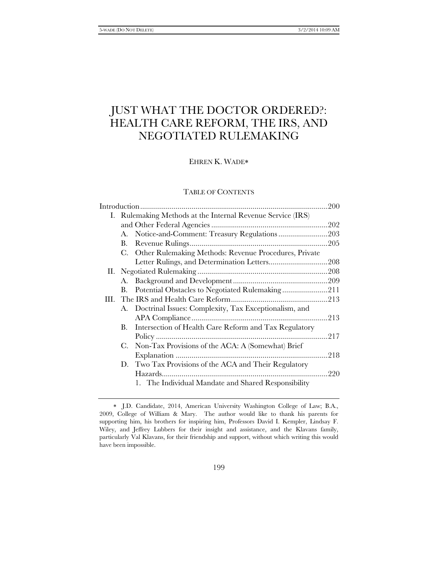# JUST WHAT THE DOCTOR ORDERED?: HEALTH CARE REFORM, THE IRS, AND NEGOTIATED RULEMAKING

EHREN K. WADE

# TABLE OF CONTENTS

| I. Rulemaking Methods at the Internal Revenue Service (IRS) |                                                          |  |  |
|-------------------------------------------------------------|----------------------------------------------------------|--|--|
|                                                             |                                                          |  |  |
| А.                                                          | Notice-and-Comment: Treasury Regulations203              |  |  |
| В.                                                          |                                                          |  |  |
| C.                                                          | Other Rulemaking Methods: Revenue Procedures, Private    |  |  |
|                                                             |                                                          |  |  |
|                                                             |                                                          |  |  |
| А.                                                          |                                                          |  |  |
| В.                                                          | Potential Obstacles to Negotiated Rulemaking211          |  |  |
|                                                             |                                                          |  |  |
|                                                             | A. Doctrinal Issues: Complexity, Tax Exceptionalism, and |  |  |
|                                                             |                                                          |  |  |
| В.                                                          | Intersection of Health Care Reform and Tax Regulatory    |  |  |
|                                                             |                                                          |  |  |
| C.                                                          | Non-Tax Provisions of the ACA: A (Somewhat) Brief        |  |  |
|                                                             |                                                          |  |  |
| D.                                                          | Two Tax Provisions of the ACA and Their Regulatory       |  |  |
|                                                             |                                                          |  |  |
|                                                             | 1. The Individual Mandate and Shared Responsibility      |  |  |
|                                                             |                                                          |  |  |

J.D. Candidate, 2014, American University Washington College of Law; B.A., 2009, College of William & Mary. The author would like to thank his parents for supporting him, his brothers for inspiring him, Professors David I. Kempler, Lindsay F. Wiley, and Jeffrey Lubbers for their insight and assistance, and the Klavans family, particularly Val Klavans, for their friendship and support, without which writing this would have been impossible.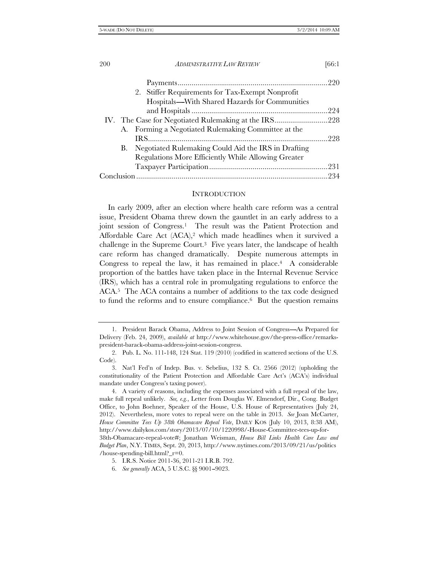| 200 |  | <b>ADMINISTRATIVE LAW REVIEW</b>                       | [66:1 |
|-----|--|--------------------------------------------------------|-------|
|     |  |                                                        |       |
|     |  | 2. Stiffer Requirements for Tax-Exempt Nonprofit       |       |
|     |  | Hospitals-With Shared Hazards for Communities          |       |
|     |  |                                                        |       |
|     |  |                                                        |       |
|     |  | A. Forming a Negotiated Rulemaking Committee at the    |       |
|     |  |                                                        |       |
|     |  | B. Negotiated Rulemaking Could Aid the IRS in Drafting |       |
|     |  | Regulations More Efficiently While Allowing Greater    |       |
|     |  |                                                        |       |
|     |  |                                                        |       |

### **INTRODUCTION**

In early 2009, after an election where health care reform was a central issue, President Obama threw down the gauntlet in an early address to a joint session of Congress.1 The result was the Patient Protection and Affordable Care Act (ACA),<sup>2</sup> which made headlines when it survived a challenge in the Supreme Court.3 Five years later, the landscape of health care reform has changed dramatically. Despite numerous attempts in Congress to repeal the law, it has remained in place. $4$  A considerable proportion of the battles have taken place in the Internal Revenue Service (IRS), which has a central role in promulgating regulations to enforce the ACA.5 The ACA contains a number of additions to the tax code designed to fund the reforms and to ensure compliance.6 But the question remains

<sup>1.</sup> President Barack Obama, Address to Joint Session of Congress-As Prepared for Delivery (Feb. 24, 2009), *available at* http://www.whitehouse.gov/the-press-office/remarkspresident-barack-obama-address-joint-session-congress.

 <sup>2.</sup> Pub. L. No. 111-148, 124 Stat. 119 (2010) (codified in scattered sections of the U.S. Code).

 <sup>3.</sup> Nat'l Fed'n of Indep. Bus. v. Sebelius, 132 S. Ct. 2566 (2012) (upholding the constitutionality of the Patient Protection and Affordable Care Act's (ACA's) individual mandate under Congress's taxing power).

 <sup>4.</sup> A variety of reasons, including the expenses associated with a full repeal of the law, make full repeal unlikely. *See, e.g.*, Letter from Douglas W. Elmendorf, Dir., Cong. Budget Office, to John Boehner, Speaker of the House, U.S. House of Representatives (July 24, 2012). Nevertheless, more votes to repeal were on the table in 2013. *See* Joan McCarter, *House Committee Tees Up 38th Obamacare Repeal Vote*, DAILY KOS (July 10, 2013, 8:38 AM), http://www.dailykos.com/story/2013/07/10/1220998/-House-Committee-tees-up-for-38th-Obamacare-repeal-vote#; Jonathan Weisman, *House Bill Links Health Care Law and Budget Plan*, N.Y. TIMES, Sept. 20, 2013, http://www.nytimes.com/2013/09/21/us/politics /house-spending-bill.html?\_r=0.

 <sup>5.</sup> I.R.S. Notice 2011-36, 2011-21 I.R.B. 792.

 <sup>6.</sup> *See generally* ACA, 5 U.S.C. §§ 9001--9023.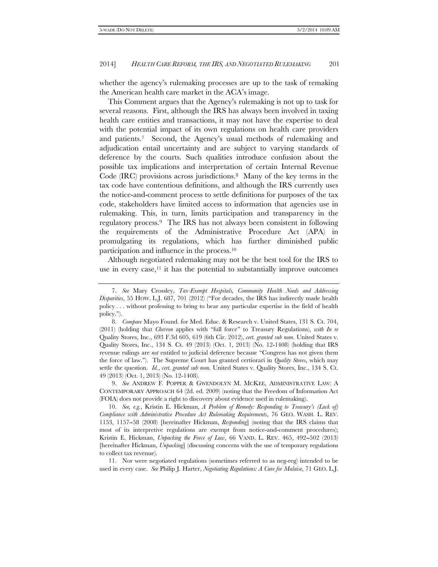whether the agency's rulemaking processes are up to the task of remaking the American health care market in the ACA's image.

This Comment argues that the Agency's rulemaking is not up to task for several reasons. First, although the IRS has always been involved in taxing health care entities and transactions, it may not have the expertise to deal with the potential impact of its own regulations on health care providers and patients.7 Second, the Agency's usual methods of rulemaking and adjudication entail uncertainty and are subject to varying standards of deference by the courts. Such qualities introduce confusion about the possible tax implications and interpretation of certain Internal Revenue Code (IRC) provisions across jurisdictions.8 Many of the key terms in the tax code have contentious definitions, and although the IRS currently uses the notice-and-comment process to settle definitions for purposes of the tax code, stakeholders have limited access to information that agencies use in rulemaking. This, in turn, limits participation and transparency in the regulatory process.9 The IRS has not always been consistent in following the requirements of the Administrative Procedure Act (APA) in promulgating its regulations, which has further diminished public participation and influence in the process.10

Although negotiated rulemaking may not be the best tool for the IRS to use in every case, $11$  it has the potential to substantially improve outcomes

 11. Nor were negotiated regulations (sometimes referred to as neg-reg) intended to be used in every case. *See* Philip J. Harter, *Negotiating Regulations: A Cure for Malaise*, 71 GEO. L.J.

 <sup>7.</sup> *See* Mary Crossley, *Tax-Exempt Hospitals, Community Health Needs and Addressing Disparities*, 55 HOW. L.J. 687, 701 (2012) ("For decades, the IRS has indirectly made health policy . . . without professing to bring to bear any particular expertise in the field of health policy.'').

 <sup>8.</sup> *Compare* Mayo Found. for Med. Educ. & Research v. United States, 131 S. Ct. 704, (2011) (holding that *Chevron* applies with ''full force'' to Treasury Regulations), *with In re* Quality Stores, Inc., 693 F.3d 605, 619 (6th Cir. 2012), *cert. granted sub nom.* United States v. Quality Stores, Inc., 134 S. Ct. 49 (2013) (Oct. 1, 2013) (No. 12-1408) (holding that IRS revenue rulings are *not* entitled to judicial deference because ''Congress has not given them the force of law.''). The Supreme Court has granted certiorari in *Quality Stores*, which may settle the question. *Id.*, *cert. granted sub nom.* United States v. Quality Stores, Inc., 134 S. Ct. 49 (2013) (Oct. 1, 2013) (No. 12-1408).

 <sup>9.</sup> *See* ANDREW F. POPPER & GWENDOLYN M. MCKEE, ADMINISTRATIVE LAW: A CONTEMPORARY APPROACH 64 (2d. ed. 2009) (noting that the Freedom of Information Act (FOIA) does not provide a right to discovery about evidence used in rulemaking).

 <sup>10.</sup> *See, e.g.*, Kristin E. Hickman, *A Problem of Remedy: Responding to Treasury's (Lack of) Compliance with Administrative Procedure Act Rulemaking Requirements*, 76 GEO. WASH. L. REV. 1153, 1157--58 (2008) [hereinafter Hickman, *Responding*] (noting that the IRS claims that most of its interpretive regulations are exempt from notice-and-comment procedures); Kristin E. Hickman, *Unpacking the Force of Law*, 66 VAND. L. REV. 465, 492–502 (2013) [hereinafter Hickman, *Unpacking*] (discussing concerns with the use of temporary regulations to collect tax revenue).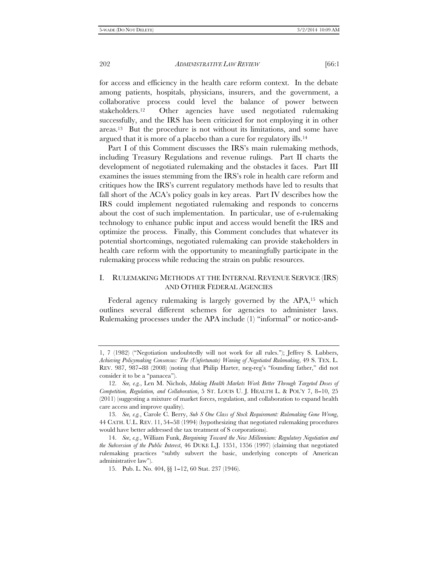for access and efficiency in the health care reform context. In the debate among patients, hospitals, physicians, insurers, and the government, a collaborative process could level the balance of power between stakeholders.12 Other agencies have used negotiated rulemaking successfully, and the IRS has been criticized for not employing it in other areas.13 But the procedure is not without its limitations, and some have argued that it is more of a placebo than a cure for regulatory ills.14

Part I of this Comment discusses the IRS's main rulemaking methods, including Treasury Regulations and revenue rulings. Part II charts the development of negotiated rulemaking and the obstacles it faces. Part III examines the issues stemming from the IRS's role in health care reform and critiques how the IRS's current regulatory methods have led to results that fall short of the ACA's policy goals in key areas. Part IV describes how the IRS could implement negotiated rulemaking and responds to concerns about the cost of such implementation. In particular, use of e-rulemaking technology to enhance public input and access would benefit the IRS and optimize the process. Finally, this Comment concludes that whatever its potential shortcomings, negotiated rulemaking can provide stakeholders in health care reform with the opportunity to meaningfully participate in the rulemaking process while reducing the strain on public resources.

# I. RULEMAKING METHODS AT THE INTERNAL REVENUE SERVICE (IRS) AND OTHER FEDERAL AGENCIES

Federal agency rulemaking is largely governed by the APA,<sup>15</sup> which outlines several different schemes for agencies to administer laws. Rulemaking processes under the APA include (1) ''informal'' or notice-and-

<sup>1, 7 (1982) (&#</sup>x27;'Negotiation undoubtedly will not work for all rules.''); Jeffrey S. Lubbers, *Achieving Policymaking Consensus: The (Unfortunate) Waning of Negotiated Rulemaking*, 49 S. TEX. L. REV. 987, 987–88 (2008) (noting that Philip Harter, neg-reg's "founding father," did not consider it to be a ''panacea'').

 <sup>12.</sup> *See, e.g.*, Len M. Nichols, *Making Health Markets Work Better Through Targeted Doses of Competition, Regulation, and Collaboration*, 5 ST. LOUIS U. J. HEALTH L. & POL'Y 7, 8-10, 25 (2011) (suggesting a mixture of market forces, regulation, and collaboration to expand health care access and improve quality).

 <sup>13.</sup> *See, e.g.*, Carole C. Berry, *Sub S One Class of Stock Requirement: Rulemaking Gone Wrong*, 44 CATH. U.L. REV. 11, 54--58 (1994) (hypothesizing that negotiated rulemaking procedures would have better addressed the tax treatment of S corporations).

 <sup>14.</sup> *See*, *e.g.*, William Funk, *Bargaining Toward the New Millennium: Regulatory Negotiation and the Subversion of the Public Interest*, 46 DUKE L.J. 1351, 1356 (1997) (claiming that negotiated rulemaking practices ''subtly subvert the basic, underlying concepts of American administrative law'').

 <sup>15.</sup> Pub. L. No. 404, §§ 1--12, 60 Stat. 237 (1946).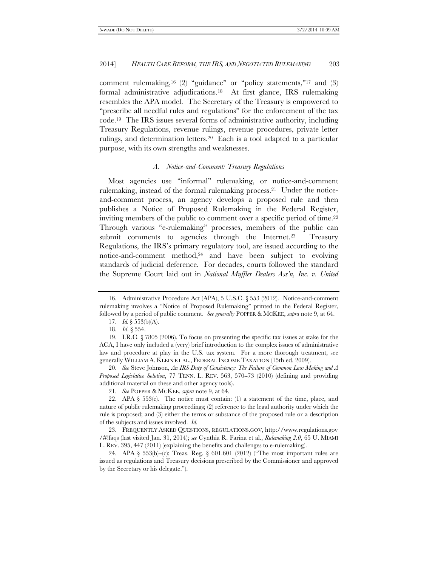comment rulemaking,<sup>16</sup> (2) "guidance" or "policy statements,"<sup>17</sup> and (3) formal administrative adjudications.18 At first glance, IRS rulemaking resembles the APA model. The Secretary of the Treasury is empowered to ''prescribe all needful rules and regulations'' for the enforcement of the tax code.19 The IRS issues several forms of administrative authority, including Treasury Regulations, revenue rulings, revenue procedures, private letter rulings, and determination letters.20 Each is a tool adapted to a particular purpose, with its own strengths and weaknesses.

#### *A. Notice-and-Comment: Treasury Regulations*

Most agencies use ''informal'' rulemaking, or notice-and-comment rulemaking, instead of the formal rulemaking process.<sup>21</sup> Under the noticeand-comment process, an agency develops a proposed rule and then publishes a Notice of Proposed Rulemaking in the Federal Register, inviting members of the public to comment over a specific period of time.<sup>22</sup> Through various "e-rulemaking" processes, members of the public can submit comments to agencies through the Internet.<sup>23</sup> Treasury Regulations, the IRS's primary regulatory tool, are issued according to the notice-and-comment method,<sup>24</sup> and have been subject to evolving standards of judicial deference*.* For decades, courts followed the standard the Supreme Court laid out in *National Muffler Dealers Ass'n, Inc. v. United* 

 20. *See* Steve Johnson, *An IRS Duty of Consistency: The Failure of Common Law Making and A Proposed Legislative Solution*, 77 TENN. L. REV. 563, 570–73 (2010) (defining and providing additional material on these and other agency tools).

21. *See* POPPER & MCKEE, *supra* note 9, at 64.

 22. APA § 553(c)*.* The notice must contain: (1) a statement of the time, place, and nature of public rulemaking proceedings; (2) reference to the legal authority under which the rule is proposed; and (3) either the terms or substance of the proposed rule or a description of the subjects and issues involved. *Id.*

 23. FREQUENTLY ASKED QUESTIONS, REGULATIONS.GOV, http://www.regulations.gov /#!faqs (last visited Jan. 31, 2014); *see* Cynthia R. Farina et al., *Rulemaking 2.0*, 65 U. MIAMI L. REV. 395, 447 (2011) (explaining the benefits and challenges to e-rulemaking).

24. APA § 553(b)-(c); Treas. Reg. § 601.601 (2012) ("The most important rules are issued as regulations and Treasury decisions prescribed by the Commissioner and approved by the Secretary or his delegate.'').

 <sup>16.</sup> Administrative Procedure Act (APA), 5 U.S.C. § 553 (2012). Notice-and-comment rulemaking involves a ''Notice of Proposed Rulemaking'' printed in the Federal Register, followed by a period of public comment. *See generally* POPPER & MCKEE, *supra* note 9, at 64.

 <sup>17.</sup> *Id.*§ 553(b)(A).

 <sup>18.</sup> *Id*. § 554.

 <sup>19.</sup> I.R.C. § 7805 (2006). To focus on presenting the specific tax issues at stake for the ACA, I have only included a (very) brief introduction to the complex issues of administrative law and procedure at play in the U.S. tax system. For a more thorough treatment, see generally WILLIAM A. KLEIN ET AL., FEDERAL INCOME TAXATION (15th ed. 2009).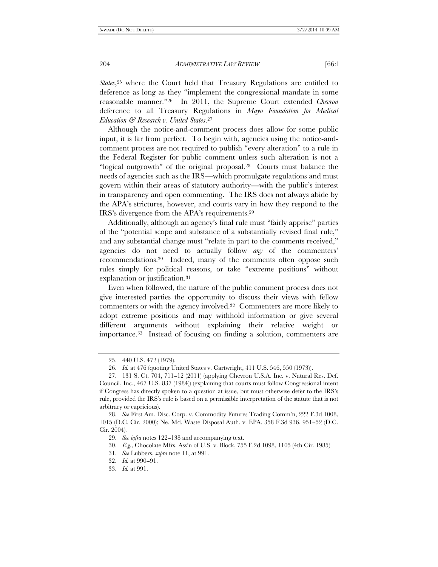*States*,<sup>25</sup> where the Court held that Treasury Regulations are entitled to deference as long as they ''implement the congressional mandate in some reasonable manner.''26 In 2011, the Supreme Court extended *Chevron* deference to all Treasury Regulations in *Mayo Foundation for Medical Education & Research v. United States*.27

Although the notice-and-comment process does allow for some public input, it is far from perfect. To begin with, agencies using the notice-andcomment process are not required to publish ''every alteration'' to a rule in the Federal Register for public comment unless such alteration is not a ''logical outgrowth'' of the original proposal.28 Courts must balance the needs of agencies such as the IRS—which promulgate regulations and must govern within their areas of statutory authority—with the public's interest in transparency and open commenting. The IRS does not always abide by the APA's strictures, however, and courts vary in how they respond to the IRS's divergence from the APA's requirements.29

Additionally, although an agency's final rule must ''fairly apprise'' parties of the ''potential scope and substance of a substantially revised final rule,'' and any substantial change must ''relate in part to the comments received,'' agencies do not need to actually follow *any* of the commenters' recommendations.30 Indeed, many of the comments often oppose such rules simply for political reasons, or take ''extreme positions'' without explanation or justification.31

Even when followed, the nature of the public comment process does not give interested parties the opportunity to discuss their views with fellow commenters or with the agency involved.32 Commenters are more likely to adopt extreme positions and may withhold information or give several different arguments without explaining their relative weight or importance.33 Instead of focusing on finding a solution, commenters are

 <sup>25. 440</sup> U.S. 472 (1979).

 <sup>26.</sup> *Id.* at 476 (quoting United States v. Cartwright, 411 U.S. 546, 550 (1973)).

 <sup>27. 131</sup> S. Ct. 704, 711--12 (2011) (applying Chevron U.S.A. Inc. v. Natural Res. Def. Council, Inc., 467 U.S. 837 (1984)) (explaining that courts must follow Congressional intent if Congress has directly spoken to a question at issue, but must otherwise defer to the IRS's rule, provided the IRS's rule is based on a permissible interpretation of the statute that is not arbitrary or capricious).

 <sup>28.</sup> *See* First Am. Disc. Corp. v. Commodity Futures Trading Comm'n, 222 F.3d 1008, 1015 (D.C. Cir. 2000); Ne. Md. Waste Disposal Auth. v. EPA, 358 F.3d 936, 951--52 (D.C. Cir. 2004)*.*

 <sup>29.</sup> *See infra* notes 122--138 and accompanying text.

 <sup>30.</sup> *E.g.*, Chocolate Mfrs. Ass'n of U.S. v. Block, 755 F.2d 1098, 1105 (4th Cir. 1985).

 <sup>31.</sup> *See* Lubbers, *supra* note 11, at 991.

<sup>32.</sup> *Id.* at 990-91.

 <sup>33.</sup> *Id.* at 991.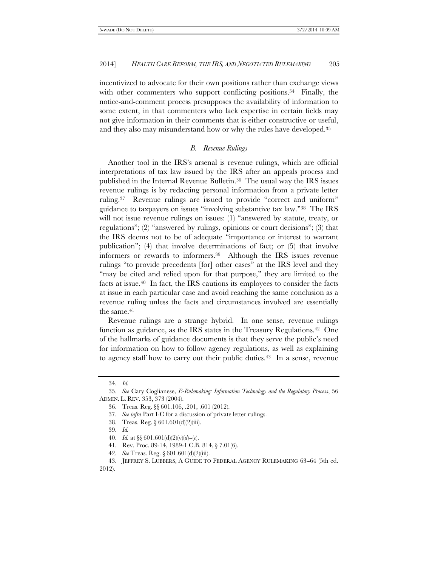incentivized to advocate for their own positions rather than exchange views with other commenters who support conflicting positions.<sup>34</sup> Finally, the notice-and-comment process presupposes the availability of information to some extent, in that commenters who lack expertise in certain fields may not give information in their comments that is either constructive or useful, and they also may misunderstand how or why the rules have developed.35

# *B. Revenue Rulings*

Another tool in the IRS's arsenal is revenue rulings, which are official interpretations of tax law issued by the IRS after an appeals process and published in the Internal Revenue Bulletin.36 The usual way the IRS issues revenue rulings is by redacting personal information from a private letter ruling.37 Revenue rulings are issued to provide ''correct and uniform'' guidance to taxpayers on issues ''involving substantive tax law.''38 The IRS will not issue revenue rulings on issues: (1) "answered by statute, treaty, or regulations"; (2) "answered by rulings, opinions or court decisions"; (3) that the IRS deems not to be of adequate ''importance or interest to warrant publication''; (4) that involve determinations of fact; or (5) that involve informers or rewards to informers.39 Although the IRS issues revenue rulings ''to provide precedents [for] other cases'' at the IRS level and they "may be cited and relied upon for that purpose," they are limited to the facts at issue.40 In fact, the IRS cautions its employees to consider the facts at issue in each particular case and avoid reaching the same conclusion as a revenue ruling unless the facts and circumstances involved are essentially the same.<sup>41</sup>

Revenue rulings are a strange hybrid. In one sense, revenue rulings function as guidance, as the IRS states in the Treasury Regulations.<sup>42</sup> One of the hallmarks of guidance documents is that they serve the public's need for information on how to follow agency regulations, as well as explaining to agency staff how to carry out their public duties.<sup>43</sup> In a sense, revenue

 <sup>34.</sup> *Id.*

 <sup>35.</sup> *See* Cary Coglianese, *E-Rulemaking: Information Technology and the Regulatory Process*, 56 ADMIN. L. REV. 353, 373 (2004).

 <sup>36.</sup> Treas. Reg. §§ 601.106, .201, .601 (2012).

 <sup>37.</sup> *See infra* Part I-C for a discussion of private letter rulings.

 <sup>38.</sup> Treas. Reg. § 601.601(d)(2)(iii).

 <sup>39.</sup> *Id.*

<sup>40.</sup> *Id.* at §§ 601.601(d)(2)(v)(d)-(e).

 <sup>41.</sup> Rev. Proc. 89-14, 1989-1 C.B. 814, § 7.01(6).

 <sup>42.</sup> *See* Treas. Reg. § 601.601(d)(2)(iii).

<sup>43.</sup> JEFFREY S. LUBBERS, A GUIDE TO FEDERAL AGENCY RULEMAKING 63-64 (5th ed. 2012).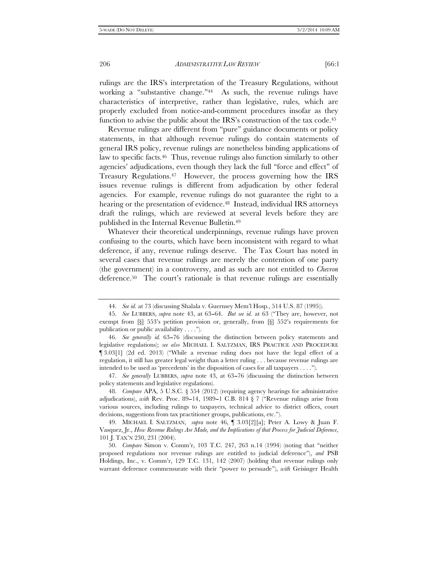rulings are the IRS's interpretation of the Treasury Regulations, without working a "substantive change."<sup>44</sup> As such, the revenue rulings have characteristics of interpretive, rather than legislative, rules, which are properly excluded from notice-and-comment procedures insofar as they function to advise the public about the IRS's construction of the tax code.<sup>45</sup>

Revenue rulings are different from "pure" guidance documents or policy statements, in that although revenue rulings do contain statements of general IRS policy, revenue rulings are nonetheless binding applications of law to specific facts.46 Thus, revenue rulings also function similarly to other agencies' adjudications, even though they lack the full ''force and effect'' of Treasury Regulations.47 However, the process governing how the IRS issues revenue rulings is different from adjudication by other federal agencies. For example, revenue rulings do not guarantee the right to a hearing or the presentation of evidence.<sup>48</sup> Instead, individual IRS attorneys draft the rulings, which are reviewed at several levels before they are published in the Internal Revenue Bulletin.49

Whatever their theoretical underpinnings, revenue rulings have proven confusing to the courts, which have been inconsistent with regard to what deference, if any, revenue rulings deserve. The Tax Court has noted in several cases that revenue rulings are merely the contention of one party (the government) in a controversy, and as such are not entitled to *Chevron* deference.50 The court's rationale is that revenue rulings are essentially

 47. *See generally* LUBBERS, *supra* note 43, at 63--76 (discussing the distinction between policy statements and legislative regulations).

 48. *Compare* APA, 5 U.S.C. § 554 (2012) (requiring agency hearings for administrative adjudications), *with* Rev. Proc. 89–14, 1989–1 C.B. 814  $\S 7$  ("Revenue rulings arise from various sources, including rulings to taxpayers, technical advice to district offices, court decisions, suggestions from tax practitioner groups, publications, etc.'').

 49. MICHAEL I. SALTZMAN, *supra* note 46, ¶ 3.03[2][a]; Peter A. Lowy & Juan F. Vasquez, Jr., *How Revenue Rulings Are Made, and the Implications of that Process for Judicial Deference*, 101 J. TAX'N 230, 231 (2004).

 50. *Compare* Simon v. Comm'r, 103 T.C. 247, 263 n.14 (1994) (noting that ''neither proposed regulations nor revenue rulings are entitled to judicial deference''), *and* PSB Holdings, Inc., v. Comm'r, 129 T.C. 131, 142 (2007) (holding that revenue rulings only warrant deference commensurate with their "power to persuade"), *with* Geisinger Health

 <sup>44.</sup> *See id.* at 73 (discussing Shalala v. Guernsey Mem'l Hosp., 514 U.S. 87 (1995)).

 <sup>45.</sup> *See* LUBBERS, *supra* note 43, at 63--64. *But see id.* at 63 (''They are, however, not exempt from [§] 553's petition provision or, generally, from [§] 552's requirements for publication or public availability . . . .'').

<sup>46.</sup> See generally id. 63-76 (discussing the distinction between policy statements and legislative regulations); *see also* MICHAEL I. SALTZMAN, IRS PRACTICE AND PROCEDURE ¶ 3.03[1] (2d ed. 2013) (''While a revenue ruling does not have the legal effect of a regulation, it still has greater legal weight than a letter ruling . . . because revenue rulings are intended to be used as 'precedents' in the disposition of cases for all taxpayers . . . .'').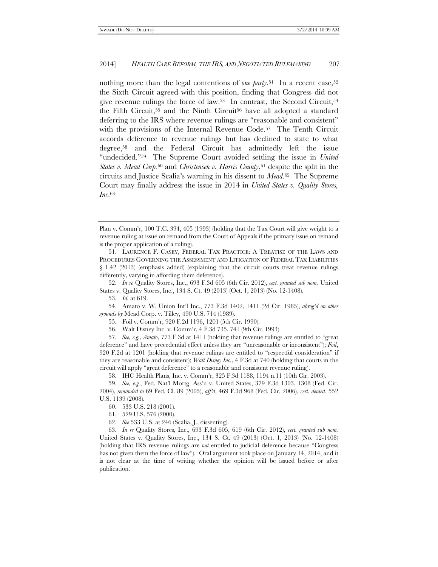nothing more than the legal contentions of *one party*.<sup>51</sup> In a recent case,<sup>52</sup> the Sixth Circuit agreed with this position, finding that Congress did not give revenue rulings the force of law.53 In contrast, the Second Circuit,54 the Fifth Circuit,<sup>55</sup> and the Ninth Circuit<sup>56</sup> have all adopted a standard deferring to the IRS where revenue rulings are ''reasonable and consistent'' with the provisions of the Internal Revenue Code.57 The Tenth Circuit accords deference to revenue rulings but has declined to state to what degree,58 and the Federal Circuit has admittedly left the issue "undecided."<sup>59</sup> The Supreme Court avoided settling the issue in *United States v. Mead Corp.*60 and *Christensen v. Harris County*,61 despite the split in the circuits and Justice Scalia's warning in his dissent to *Mead*.62 The Supreme Court may finally address the issue in 2014 in *United States v. Quality Stores, Inc*.63

 52. *In re* Quality Stores, Inc., 693 F.3d 605 (6th Cir. 2012), *cert. granted sub nom.* United States v. Quality Stores, Inc., 134 S. Ct. 49 (2013) (Oct. 1, 2013) (No. 12-1408).

 54. Amato v. W. Union Int'l Inc., 773 F.3d 1402, 1411 (2d Cir. 1985), *abrog'd on other grounds by* Mead Corp. v. Tilley, 490 U.S. 714 (1989).

56. Walt Disney Inc. v. Comm'r, 4 F.3d 735, 741 (9th Cir. 1993).

 57. *See, e.g.*, *Amato*, 773 F.3d at 1411 (holding that revenue rulings are entitled to ''great deference'' and have precedential effect unless they are ''unreasonable or inconsistent''); *Foil*, 920 F.2d at 1201 (holding that revenue rulings are entitled to ''respectful consideration'' if they are reasonable and consistent); *Walt Disney Inc.*, 4 F.3d at 740 (holding that courts in the circuit will apply ''great deference'' to a reasonable and consistent revenue ruling).

58. IHC Health Plans, Inc. v. Comm'r, 325 F.3d 1188, 1194 n.11 (10th Cir. 2003).

 59. *See, e.g.*, Fed. Nat'l Mortg. Ass'n v. United States, 379 F.3d 1303, 1308 (Fed. Cir. 2004), *remanded to* 69 Fed. Cl. 89 (2005), *aff'd*, 469 F.3d 968 (Fed. Cir. 2006), *cert. denied*, 552 U.S. 1139 (2008).

60. 533 U.S. 218 (2001).

61. 529 U.S. 576 (2000).

62. *See* 533 U.S. at 246 (Scalia, J., dissenting).

 63. *In re* Quality Stores, Inc., 693 F.3d 605, 619 (6th Cir. 2012), *cert. granted sub nom.* United States v. Quality Stores, Inc., 134 S. Ct. 49 (2013) (Oct. 1, 2013) (No. 12-1408) (holding that IRS revenue rulings are *not* entitled to judicial deference because ''Congress has not given them the force of law"). Oral argument took place on January 14, 2014, and it is not clear at the time of writing whether the opinion will be issued before or after publication.

Plan v. Comm'r, 100 T.C. 394, 405 (1993) (holding that the Tax Court will give weight to a revenue ruling at issue on remand from the Court of Appeals if the primary issue on remand is the proper application of a ruling).

 <sup>51.</sup> LAURENCE F. CASEY, FEDERAL TAX PRACTICE: A TREATISE OF THE LAWS AND PROCEDURES GOVERNING THE ASSESSMENT AND LITIGATION OF FEDERAL TAX LIABILITIES § 1.42 (2013) (emphasis added) (explaining that the circuit courts treat revenue rulings differently, varying in affording them deference).

 <sup>53.</sup> *Id.* at 619.

 <sup>55.</sup> Foil v. Comm'r, 920 F.2d 1196, 1201 (5th Cir. 1990).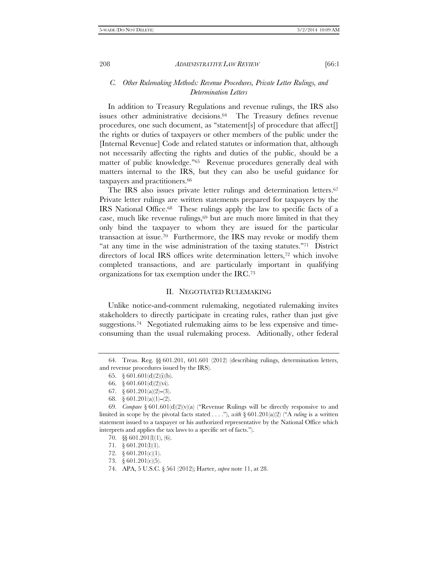# *C. Other Rulemaking Methods: Revenue Procedures, Private Letter Rulings, and Determination Letters*

In addition to Treasury Regulations and revenue rulings, the IRS also issues other administrative decisions.64 The Treasury defines revenue procedures, one such document, as "statement[s] of procedure that affect[] the rights or duties of taxpayers or other members of the public under the [Internal Revenue] Code and related statutes or information that, although not necessarily affecting the rights and duties of the public, should be a matter of public knowledge."<sup>65</sup> Revenue procedures generally deal with matters internal to the IRS, but they can also be useful guidance for taxpayers and practitioners.<sup>66</sup>

The IRS also issues private letter rulings and determination letters.<sup>67</sup> Private letter rulings are written statements prepared for taxpayers by the IRS National Office.68 These rulings apply the law to specific facts of a case, much like revenue rulings, $69$  but are much more limited in that they only bind the taxpayer to whom they are issued for the particular transaction at issue.70 Furthermore, the IRS may revoke or modify them "at any time in the wise administration of the taxing statutes."71 District directors of local IRS offices write determination letters,72 which involve completed transactions, and are particularly important in qualifying organizations for tax exemption under the IRC.73

# II. NEGOTIATED RULEMAKING

Unlike notice-and-comment rulemaking, negotiated rulemaking invites stakeholders to directly participate in creating rules, rather than just give suggestions.74 Negotiated rulemaking aims to be less expensive and timeconsuming than the usual rulemaking process. Aditionally, other federal

 <sup>64.</sup> Treas. Reg. §§ 601.201, 601.601 (2012) (describing rulings, determination letters, and revenue procedures issued by the IRS).

<sup>65.</sup>  $\S$  601.601(d)(2)(i)(b).

 <sup>66. § 601.601(</sup>d)(2)(vi).

<sup>67.</sup>  $\& 601.201(a)(2)–(3)$ .

<sup>68.</sup>  $\& 601.201(a)(1)-(2)$ .

<sup>69.</sup> *Compare*  $\S 601.601(d)(2)(v)(a)$  ("Revenue Rulings will be directly responsive to and limited in scope by the pivotal facts stated . . . .''), *with* § 601.201(a)(2) (''A *ruling* is a written statement issued to a taxpayer or his authorized representative by the National Office which interprets and applies the tax laws to a specific set of facts.'').

 <sup>70. §§ 601.201(</sup>l)(1), (6).

 <sup>71. § 601.201(</sup>l)(1).

 <sup>72. § 601.201(</sup>c)(1).

 <sup>73. § 601.201(</sup>c)(5).

 <sup>74.</sup> APA, 5 U.S.C. § 561 (2012); Harter, *supra* note 11, at 28.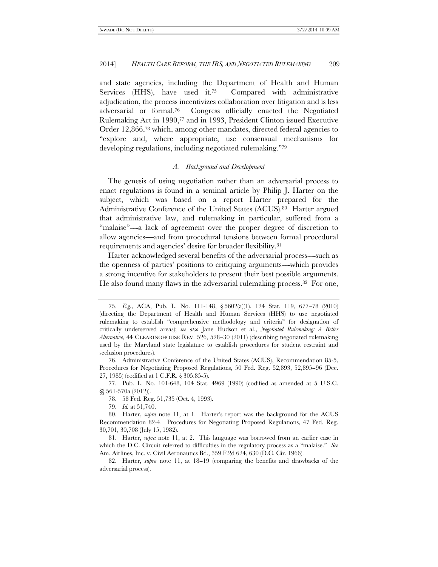and state agencies, including the Department of Health and Human Services (HHS), have used it.75 Compared with administrative adjudication, the process incentivizes collaboration over litigation and is less adversarial or formal.76 Congress officially enacted the Negotiated Rulemaking Act in 1990,77 and in 1993, President Clinton issued Executive Order 12,866,78 which, among other mandates, directed federal agencies to ''explore and, where appropriate, use consensual mechanisms for developing regulations, including negotiated rulemaking.''79

#### *A. Background and Development*

The genesis of using negotiation rather than an adversarial process to enact regulations is found in a seminal article by Philip J. Harter on the subject, which was based on a report Harter prepared for the Administrative Conference of the United States (ACUS).80 Harter argued that administrative law, and rulemaking in particular, suffered from a "malaise"----a lack of agreement over the proper degree of discretion to allow agencies—and from procedural tensions between formal procedural requirements and agencies' desire for broader flexibility.81

Harter acknowledged several benefits of the adversarial process-such as the openness of parties' positions to critiquing arguments—which provides a strong incentive for stakeholders to present their best possible arguments. He also found many flaws in the adversarial rulemaking process.82 For one,

<sup>75.</sup> *E.g.*, ACA, Pub. L. No. 111-148, § 5602(a)(1), 124 Stat. 119, 677-78 (2010) (directing the Department of Health and Human Services (HHS) to use negotiated rulemaking to establish ''comprehensive methodology and criteria'' for designation of critically underserved areas); *see also* Jane Hudson et al., *Negotiated Rulemaking: A Better Alternative*, 44 CLEARINGHOUSE REV. 526, 528--30 (2011) (describing negotiated rulemaking used by the Maryland state legislature to establish procedures for student restraint and seclusion procedures).

 <sup>76.</sup> Administrative Conference of the United States (ACUS), Recommendation 85-5, Procedures for Negotiating Proposed Regulations, 50 Fed. Reg. 52,893, 52,895–96 (Dec. 27, 1985) (codified at 1 C.F.R. § 305.85-5).

 <sup>77.</sup> Pub. L. No. 101-648, 104 Stat. 4969 (1990) (codified as amended at 5 U.S.C. §§ 561-570a (2012)).

 <sup>78. 58</sup> Fed. Reg. 51,735 (Oct. 4, 1993).

 <sup>79.</sup> *Id.* at 51,740.

 <sup>80.</sup> Harter, *supra* note 11, at 1. Harter's report was the background for the ACUS Recommendation 82-4. Procedures for Negotiating Proposed Regulations, 47 Fed. Reg. 30,701, 30,708 (July 15, 1982).

 <sup>81.</sup> Harter, *supra* note 11, at 2. This language was borrowed from an earlier case in which the D.C. Circuit referred to difficulties in the regulatory process as a "malaise." *See* Am. Airlines, Inc. v. Civil Aeronautics Bd., 359 F.2d 624, 630 (D.C. Cir. 1966).

<sup>82.</sup> Harter, *supra* note 11, at 18-19 (comparing the benefits and drawbacks of the adversarial process).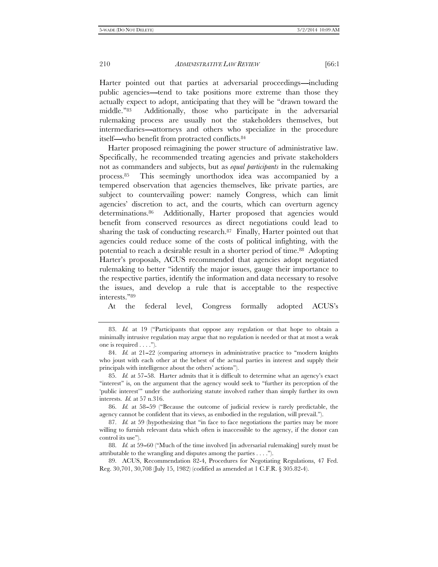Harter pointed out that parties at adversarial proceedings—including public agencies—tend to take positions more extreme than those they actually expect to adopt, anticipating that they will be ''drawn toward the middle.''83 Additionally, those who participate in the adversarial rulemaking process are usually not the stakeholders themselves, but intermediaries—attorneys and others who specialize in the procedure itself—who benefit from protracted conflicts.<sup>84</sup>

Harter proposed reimagining the power structure of administrative law. Specifically, he recommended treating agencies and private stakeholders not as commanders and subjects, but as *equal participants* in the rulemaking process.85 This seemingly unorthodox idea was accompanied by a tempered observation that agencies themselves, like private parties, are subject to countervailing power: namely Congress, which can limit agencies' discretion to act, and the courts, which can overturn agency determinations.86 Additionally, Harter proposed that agencies would benefit from conserved resources as direct negotiations could lead to sharing the task of conducting research. $87$  Finally, Harter pointed out that agencies could reduce some of the costs of political infighting, with the potential to reach a desirable result in a shorter period of time.88 Adopting Harter's proposals, ACUS recommended that agencies adopt negotiated rulemaking to better ''identify the major issues, gauge their importance to the respective parties, identify the information and data necessary to resolve the issues, and develop a rule that is acceptable to the respective interests.''89

At the federal level, Congress formally adopted ACUS's

 89. ACUS, Recommendation 82-4, Procedures for Negotiating Regulations, 47 Fed. Reg. 30,701, 30,708 (July 15, 1982) (codified as amended at 1 C.F.R. § 305.82-4).

 <sup>83.</sup> *Id.* at 19 (''Participants that oppose any regulation or that hope to obtain a minimally intrusive regulation may argue that no regulation is needed or that at most a weak one is required  $\dots$ .").

<sup>84.</sup> *Id.* at 21–22 (comparing attorneys in administrative practice to "modern knights" who joust with each other at the behest of the actual parties in interest and supply their principals with intelligence about the others' actions'').

<sup>85.</sup> *Id.* at 57–58. Harter admits that it is difficult to determine what an agency's exact ''interest'' is, on the argument that the agency would seek to ''further its perception of the 'public interest''' under the authorizing statute involved rather than simply further its own interests. *Id.* at 57 n.316.

 <sup>86.</sup> *Id.* at 58--59 (''Because the outcome of judicial review is rarely predictable, the agency cannot be confident that its views, as embodied in the regulation, will prevail.'').

 <sup>87.</sup> *Id.* at 59 (hypothesizing that ''in face to face negotiations the parties may be more willing to furnish relevant data which often is inaccessible to the agency, if the donor can control its use'').

<sup>88.</sup> *Id.* at 59–60 ("Much of the time involved [in adversarial rulemaking] surely must be attributable to the wrangling and disputes among the parties . . . .'').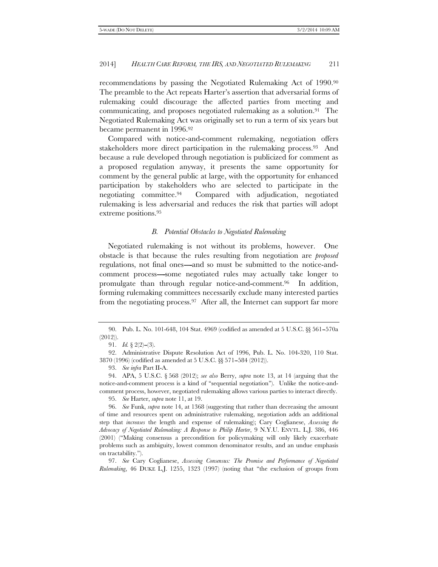recommendations by passing the Negotiated Rulemaking Act of 1990.90 The preamble to the Act repeats Harter's assertion that adversarial forms of rulemaking could discourage the affected parties from meeting and communicating, and proposes negotiated rulemaking as a solution.<sup>91</sup> The Negotiated Rulemaking Act was originally set to run a term of six years but became permanent in 1996.92

Compared with notice-and-comment rulemaking, negotiation offers stakeholders more direct participation in the rulemaking process.<sup>93</sup> And because a rule developed through negotiation is publicized for comment as a proposed regulation anyway, it presents the same opportunity for comment by the general public at large, with the opportunity for enhanced participation by stakeholders who are selected to participate in the negotiating committee.94 Compared with adjudication, negotiated rulemaking is less adversarial and reduces the risk that parties will adopt extreme positions.95

#### *B. Potential Obstacles to Negotiated Rulemaking*

Negotiated rulemaking is not without its problems, however. One obstacle is that because the rules resulting from negotiation are *proposed* regulations, not final ones—and so must be submitted to the notice-andcomment process—some negotiated rules may actually take longer to promulgate than through regular notice-and-comment.96 In addition, forming rulemaking committees necessarily exclude many interested parties from the negotiating process.<sup>97</sup> After all, the Internet can support far more

93. *See infra* Part II-A.

 97. *See* Cary Coglianese, *Assessing Consensus: The Promise and Performance of Negotiated Rulemaking*, 46 DUKE L.J. 1255, 1323 (1997) (noting that ''the exclusion of groups from

 <sup>90.</sup> Pub. L. No. 101-648, 104 Stat. 4969 (codified as amended at 5 U.S.C. §§ 561--570a (2012)).

<sup>91.</sup> *Id.* §  $2(2)$ – $(3)$ .

 <sup>92.</sup> Administrative Dispute Resolution Act of 1996, Pub. L. No. 104-320, 110 Stat. 3870 (1996) (codified as amended at 5 U.S.C. §§ 571--584 (2012)).

 <sup>94.</sup> APA, 5 U.S.C. § 568 (2012); *see also* Berry, *supra* note 13, at 14 (arguing that the notice-and-comment process is a kind of ''sequential negotiation''). Unlike the notice-andcomment process, however, negotiated rulemaking allows various parties to interact directly.

 <sup>95.</sup> *See* Harter, *supra* note 11, at 19.

 <sup>96.</sup> *See* Funk, *supra* note 14, at 1368 (suggesting that rather than decreasing the amount of time and resources spent on administrative rulemaking, negotiation adds an additional step that *increases* the length and expense of rulemaking); Cary Coglianese, *Assessing the Advocacy of Negotiated Rulemaking: A Response to Philip Harter*, 9 N.Y.U. ENVTL. L.J. 386, 446 (2001) (''Making consensus a precondition for policymaking will only likely exacerbate problems such as ambiguity, lowest common denominator results, and an undue emphasis on tractability.'').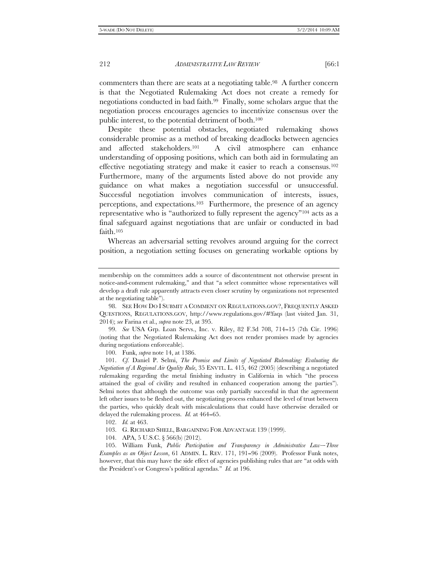commenters than there are seats at a negotiating table.<sup>98</sup> A further concern is that the Negotiated Rulemaking Act does not create a remedy for negotiations conducted in bad faith.99 Finally, some scholars argue that the negotiation process encourages agencies to incentivize consensus over the public interest, to the potential detriment of both.100

Despite these potential obstacles, negotiated rulemaking shows considerable promise as a method of breaking deadlocks between agencies and affected stakeholders.101 A civil atmosphere can enhance understanding of opposing positions, which can both aid in formulating an effective negotiating strategy and make it easier to reach a consensus.102 Furthermore, many of the arguments listed above do not provide any guidance on what makes a negotiation successful or unsuccessful. Successful negotiation involves communication of interests, issues, perceptions, and expectations.103 Furthermore, the presence of an agency representative who is ''authorized to fully represent the agency''104 acts as a final safeguard against negotiations that are unfair or conducted in bad faith.105

Whereas an adversarial setting revolves around arguing for the correct position, a negotiation setting focuses on generating workable options by

 99. *See* USA Grp. Loan Servs., Inc. v. Riley, 82 F.3d 708, 714--15 (7th Cir. 1996) (noting that the Negotiated Rulemaking Act does not render promises made by agencies during negotiations enforceable).

100. Funk, *supra* note 14, at 1386.

 101. *Cf.* Daniel P. Selmi, *The Promise and Limits of Negotiated Rulemaking: Evaluating the Negotiation of A Regional Air Quality Rule*, 35 ENVTL. L. 415, 462 (2005) (describing a negotiated rulemaking regarding the metal finishing industry in California in which ''the process attained the goal of civility and resulted in enhanced cooperation among the parties''). Selmi notes that although the outcome was only partially successful in that the agreement left other issues to be fleshed out, the negotiating process enhanced the level of trust between the parties, who quickly dealt with miscalculations that could have otherwise derailed or delayed the rulemaking process. *Id.* at 464-65.

102. *Id.* at 463.

- 103. G. RICHARD SHELL, BARGAINING FOR ADVANTAGE 139 (1999).
- 104. APA, 5 U.S.C. § 566(b) (2012).

105. William Funk, *Public Participation and Transparency in Administrative Law--Three Examples as an Object Lesson*, 61 ADMIN. L. REV. 171, 191-96 (2009). Professor Funk notes, however, that this may have the side effect of agencies publishing rules that are ''at odds with the President's or Congress's political agendas.'' *Id.* at 196.

membership on the committees adds a source of discontentment not otherwise present in notice-and-comment rulemaking,'' and that ''a select committee whose representatives will develop a draft rule apparently attracts even closer scrutiny by organizations not represented at the negotiating table'').

 <sup>98.</sup> SEE HOW DO I SUBMIT A COMMENT ON REGULATIONS.GOV?, FREQUENTLY ASKED QUESTIONS, REGULATIONS.GOV, http://www.regulations.gov/#!faqs (last visited Jan. 31, 2014); *see* Farina et al., *supra* note 23, at 395.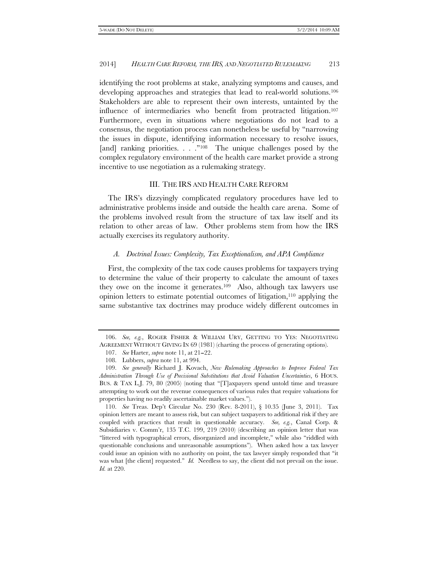identifying the root problems at stake, analyzing symptoms and causes, and developing approaches and strategies that lead to real-world solutions.106 Stakeholders are able to represent their own interests, untainted by the influence of intermediaries who benefit from protracted litigation.107 Furthermore, even in situations where negotiations do not lead to a consensus, the negotiation process can nonetheless be useful by ''narrowing the issues in dispute, identifying information necessary to resolve issues, [and] ranking priorities. . . . "<sup>108</sup> The unique challenges posed by the complex regulatory environment of the health care market provide a strong incentive to use negotiation as a rulemaking strategy.

## III. THE IRS AND HEALTH CARE REFORM

The IRS's dizzyingly complicated regulatory procedures have led to administrative problems inside and outside the health care arena. Some of the problems involved result from the structure of tax law itself and its relation to other areas of law. Other problems stem from how the IRS actually exercises its regulatory authority.

#### *A. Doctrinal Issues: Complexity, Tax Exceptionalism, and APA Compliance*

First, the complexity of the tax code causes problems for taxpayers trying to determine the value of their property to calculate the amount of taxes they owe on the income it generates.109 Also, although tax lawyers use opinion letters to estimate potential outcomes of litigation, $110$  applying the same substantive tax doctrines may produce widely different outcomes in

 <sup>106.</sup> *See, e.g.*, ROGER FISHER & WILLIAM URY, GETTING TO YES: NEGOTIATING AGREEMENT WITHOUT GIVING IN 69 (1981) (charting the process of generating options).

<sup>107.</sup> *See* Harter, *supra* note 11, at 21–22.

 <sup>108.</sup> Lubbers, *supra* note 11, at 994.

 <sup>109.</sup> *See generally* Richard J. Kovach, *New Rulemaking Approaches to Improve Federal Tax Administration Through Use of Precisional Substitutions that Avoid Valuation Uncertainties*, 6 HOUS. BUS. & TAX L.J. 79, 80 (2005) (noting that ''[T]axpayers spend untold time and treasure attempting to work out the revenue consequences of various rules that require valuations for properties having no readily ascertainable market values.'').

 <sup>110.</sup> *See* Treas. Dep't Circular No. 230 (Rev. 8-2011), § 10.35 (June 3, 2011). Tax opinion letters are meant to assess risk, but can subject taxpayers to additional risk if they are coupled with practices that result in questionable accuracy. *See, e.g.*, Canal Corp. & Subsidiaries v. Comm'r, 135 T.C. 199, 219 (2010) (describing an opinion letter that was ''littered with typographical errors, disorganized and incomplete,'' while also ''riddled with questionable conclusions and unreasonable assumptions''). When asked how a tax lawyer could issue an opinion with no authority on point, the tax lawyer simply responded that ''it was what [the client] requested." *Id.* Needless to say, the client did not prevail on the issue. *Id.* at 220.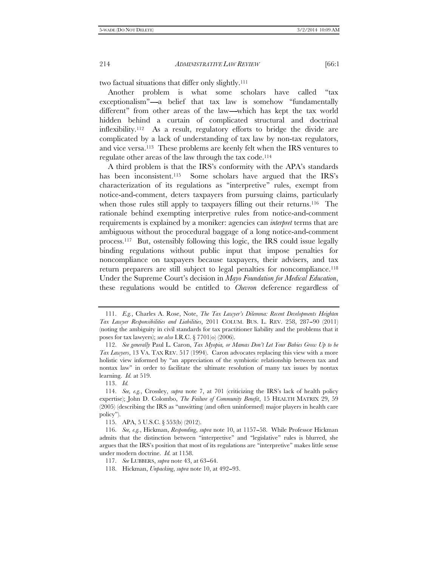two factual situations that differ only slightly.111

Another problem is what some scholars have called ''tax exceptionalism"---a belief that tax law is somehow "fundamentally different" from other areas of the law—which has kept the tax world hidden behind a curtain of complicated structural and doctrinal inflexibility.112 As a result, regulatory efforts to bridge the divide are complicated by a lack of understanding of tax law by non-tax regulators, and vice versa.113 These problems are keenly felt when the IRS ventures to regulate other areas of the law through the tax code.114

A third problem is that the IRS's conformity with the APA's standards has been inconsistent.<sup>115</sup> Some scholars have argued that the IRS's characterization of its regulations as ''interpretive'' rules, exempt from notice-and-comment, deters taxpayers from pursuing claims, particularly when those rules still apply to taxpayers filling out their returns.<sup>116</sup> The rationale behind exempting interpretive rules from notice-and-comment requirements is explained by a moniker: agencies can *interpret* terms that are ambiguous without the procedural baggage of a long notice-and-comment process.117 But, ostensibly following this logic, the IRS could issue legally binding regulations without public input that impose penalties for noncompliance on taxpayers because taxpayers, their advisers, and tax return preparers are still subject to legal penalties for noncompliance.<sup>118</sup> Under the Supreme Court's decision in *Mayo Foundation for Medical Education*, these regulations would be entitled to *Chevron* deference regardless of

113. *Id.*

 <sup>111.</sup> *E.g.*, Charles A. Rose, Note, *The Tax Lawyer's Dilemma: Recent Developments Heighten Tax Lawyer Responsibilities and Liabilities*, 2011 COLUM. BUS. L. REV. 258, 287-90 (2011) (noting the ambiguity in civil standards for tax practitioner liability and the problems that it poses for tax lawyers); *see also* I.R.C. § 7701(o) (2006).

 <sup>112.</sup> *See generally* Paul L. Caron, *Tax Myopia, or Mamas Don't Let Your Babies Grow Up to be Tax Lawyers*, 13 VA. TAX REV. 517 (1994). Caron advocates replacing this view with a more holistic view informed by ''an appreciation of the symbiotic relationship between tax and nontax law'' in order to facilitate the ultimate resolution of many tax issues by nontax learning. *Id.* at 519.

 <sup>114.</sup> *See, e.g.*, Crossley, *supra* note 7, at 701 (criticizing the IRS's lack of health policy expertise); John D. Colombo, *The Failure of Community Benefit*, 15 HEALTH MATRIX 29, 59 (2005) (describing the IRS as ''unwitting (and often uninformed) major players in health care policy'').

 <sup>115.</sup> APA, 5 U.S.C. § 553(b) (2012).

 <sup>116.</sup> *See, e.g.*, Hickman, *Responding*, *supra* note 10, at 1157--58. While Professor Hickman admits that the distinction between ''interpretive'' and ''legislative'' rules is blurred, she argues that the IRS's position that most of its regulations are ''interpretive'' makes little sense under modern doctrine. *Id.* at 1158.

 <sup>117.</sup> *See* LUBBERS, *supra* note 43, at 63--64.

<sup>118.</sup> Hickman, *Unpacking*, *supra* note 10, at 492-93.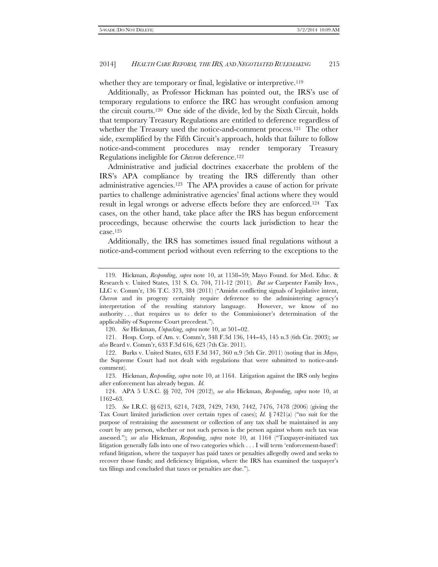whether they are temporary or final, legislative or interpretive.<sup>119</sup>

Additionally, as Professor Hickman has pointed out, the IRS's use of temporary regulations to enforce the IRC has wrought confusion among the circuit courts.120 One side of the divide, led by the Sixth Circuit, holds that temporary Treasury Regulations are entitled to deference regardless of whether the Treasury used the notice-and-comment process.<sup>121</sup> The other side, exemplified by the Fifth Circuit's approach, holds that failure to follow notice-and-comment procedures may render temporary Treasury Regulations ineligible for *Chevron* deference.122

Administrative and judicial doctrines exacerbate the problem of the IRS's APA compliance by treating the IRS differently than other administrative agencies.123 The APA provides a cause of action for private parties to challenge administrative agencies' final actions where they would result in legal wrongs or adverse effects before they are enforced.124 Tax cases, on the other hand, take place after the IRS has begun enforcement proceedings, because otherwise the courts lack jurisdiction to hear the case.125

Additionally, the IRS has sometimes issued final regulations without a notice-and-comment period without even referring to the exceptions to the

120. *See* Hickman, *Unpacking*, *supra* note 10, at 501-02.

 121. Hosp. Corp. of Am. v. Comm'r, 348 F.3d 136, 144--45, 145 n.3 (6th Cir. 2003); *see also* Beard v. Comm'r, 633 F.3d 616, 623 (7th Cir. 2011).

 <sup>119.</sup> Hickman, *Responding*, *supra* note 10, at 1158--59; Mayo Found. for Med. Educ. & Research v. United States, 131 S. Ct. 704, 711-12 (2011). *But see* Carpenter Family Invs., LLC v. Comm'r, 136 T.C. 373, 384 (2011) (''Amidst conflicting signals of legislative intent, *Chevron* and its progeny certainly require deference to the administering agency's interpretation of the resulting statutory language. However, we know of no authority . . . that requires us to defer to the Commissioner's determination of the applicability of Supreme Court precedent.'').

 <sup>122.</sup> Burks v. United States, 633 F.3d 347, 360 n.9 (5th Cir. 2011) (noting that in *Mayo*, the Supreme Court had not dealt with regulations that were submitted to notice-andcomment).

 <sup>123.</sup> Hickman, *Responding*, *supra* note 10, at 1164. Litigation against the IRS only begins after enforcement has already begun. *Id.*

 <sup>124.</sup> APA 5 U.S.C. §§ 702, 704 (2012), *see also* Hickman, *Responding*, *supra* note 10, at 1162-63.

 <sup>125.</sup> *See* I.R.C. §§ 6213, 6214, 7428, 7429, 7430, 7442, 7476, 7478 (2006) (giving the Tax Court limited jurisdiction over certain types of cases); *Id.* § 7421(a) ("no suit for the purpose of restraining the assessment or collection of any tax shall be maintained in any court by any person, whether or not such person is the person against whom such tax was assessed.''); *see also* Hickman, *Responding*, *supra* note 10, at 1164 (''Taxpayer-initiated tax litigation generally falls into one of two categories which . . . I will term 'enforcement-based': refund litigation, where the taxpayer has paid taxes or penalties allegedly owed and seeks to recover those funds; and deficiency litigation, where the IRS has examined the taxpayer's tax filings and concluded that taxes or penalties are due.'').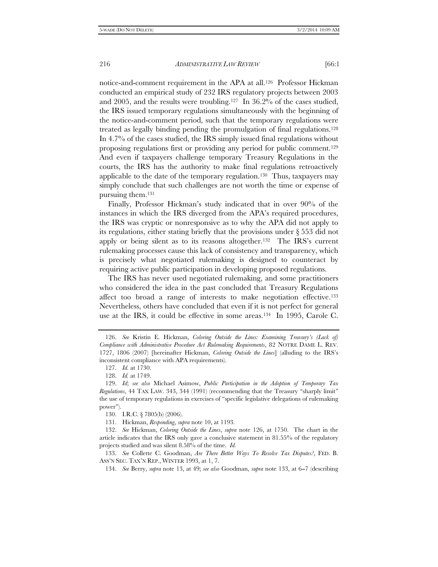notice-and-comment requirement in the APA at all.126 Professor Hickman conducted an empirical study of 232 IRS regulatory projects between 2003 and 2005, and the results were troubling.127 In 36.2% of the cases studied, the IRS issued temporary regulations simultaneously with the beginning of the notice-and-comment period, such that the temporary regulations were treated as legally binding pending the promulgation of final regulations.128 In 4.7% of the cases studied, the IRS simply issued final regulations without proposing regulations first or providing any period for public comment.129 And even if taxpayers challenge temporary Treasury Regulations in the courts, the IRS has the authority to make final regulations retroactively applicable to the date of the temporary regulation.130 Thus, taxpayers may simply conclude that such challenges are not worth the time or expense of pursuing them.131

Finally, Professor Hickman's study indicated that in over 90% of the instances in which the IRS diverged from the APA's required procedures, the IRS was cryptic or nonresponsive as to why the APA did not apply to its regulations, either stating briefly that the provisions under § 553 did not apply or being silent as to its reasons altogether.132 The IRS's current rulemaking processes cause this lack of consistency and transparency, which is precisely what negotiated rulemaking is designed to counteract by requiring active public participation in developing proposed regulations.

The IRS has never used negotiated rulemaking, and some practitioners who considered the idea in the past concluded that Treasury Regulations affect too broad a range of interests to make negotiation effective.133 Nevertheless, others have concluded that even if it is not perfect for general use at the IRS, it could be effective in some areas.134 In 1995, Carole C.

 <sup>126.</sup> *See* Kristin E. Hickman, *Coloring Outside the Lines: Examining Treasury's (Lack of) Compliance with Administrative Procedure Act Rulemaking Requirements*, 82 NOTRE DAME L. REV. 1727, 1806 (2007) [hereinafter Hickman, *Coloring Outside the Lines*] (alluding to the IRS's inconsistent compliance with APA requirements).

 <sup>127.</sup> *Id.* at 1730.

 <sup>128.</sup> *Id.* at 1749.

 <sup>129.</sup> *Id*; *see also* Michael Asimow, *Public Participation in the Adoption of Temporary Tax Regulations*, 44 TAX LAW. 343, 344 (1991) (recommending that the Treasury ''sharply limit'' the use of temporary regulations in exercises of ''specific legislative delegations of rulemaking power'').

 <sup>130.</sup> I.R.C. § 7805(b) (2006).

 <sup>131.</sup> Hickman, *Responding*, *supra* note 10, at 1193.

 <sup>132.</sup> *See* Hickman, *Coloring Outside the Lines*, *supra* note 126, at 1750. The chart in the article indicates that the IRS only gave a conclusive statement in 81.55% of the regulatory projects studied and was silent 8.58% of the time. *Id.*

 <sup>133.</sup> *See* Collette C. Goodman, *Are There Better Ways To Resolve Tax Disputes?*, FED. B. ASS'N SEC. TAX'N REP., WINTER 1993, at 1, 7.

<sup>134.</sup> *See* Berry, *supra* note 13, at 49; *see also* Goodman, *supra* note 133, at 6-7 (describing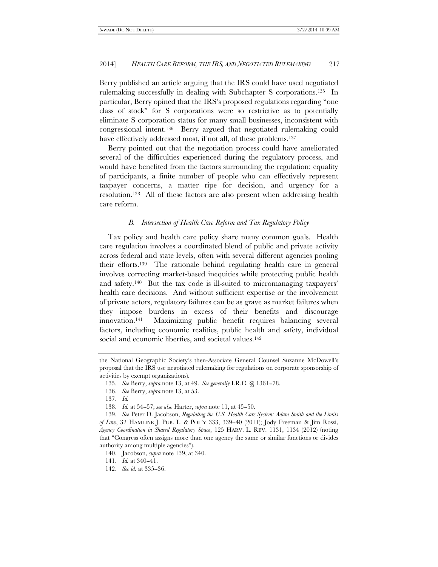Berry published an article arguing that the IRS could have used negotiated rulemaking successfully in dealing with Subchapter S corporations.135 In particular, Berry opined that the IRS's proposed regulations regarding ''one class of stock'' for S corporations were so restrictive as to potentially eliminate S corporation status for many small businesses, inconsistent with congressional intent.136 Berry argued that negotiated rulemaking could have effectively addressed most, if not all, of these problems.<sup>137</sup>

Berry pointed out that the negotiation process could have ameliorated several of the difficulties experienced during the regulatory process, and would have benefited from the factors surrounding the regulation: equality of participants, a finite number of people who can effectively represent taxpayer concerns, a matter ripe for decision, and urgency for a resolution.138 All of these factors are also present when addressing health care reform.

#### *B. Intersection of Health Care Reform and Tax Regulatory Policy*

Tax policy and health care policy share many common goals. Health care regulation involves a coordinated blend of public and private activity across federal and state levels, often with several different agencies pooling their efforts.139 The rationale behind regulating health care in general involves correcting market-based inequities while protecting public health and safety.140 But the tax code is ill-suited to micromanaging taxpayers' health care decisions. And without sufficient expertise or the involvement of private actors, regulatory failures can be as grave as market failures when they impose burdens in excess of their benefits and discourage innovation.141 Maximizing public benefit requires balancing several factors, including economic realities, public health and safety, individual social and economic liberties, and societal values.<sup>142</sup>

the National Geographic Society's then-Associate General Counsel Suzanne McDowell's proposal that the IRS use negotiated rulemaking for regulations on corporate sponsorship of activities by exempt organizations).

 <sup>135.</sup> *See* Berry, *supra* note 13, at 49. *See generally* I.R.C. §§ 1361--78.

 <sup>136.</sup> *See* Berry, *supra* note 13, at 53.

 <sup>137.</sup> *Id.*

<sup>138.</sup> *Id.* at 54–57; *see also* Harter, *supra* note 11, at 45–50.

 <sup>139.</sup> *See* Peter D. Jacobson, *Regulating the U.S. Health Care System: Adam Smith and the Limits of Law*, 32 HAMLINE J. PUB. L. & POL'Y 333, 339--40 (2011); Jody Freeman & Jim Rossi, *Agency Coordination in Shared Regulatory Space*, 125 HARV. L. REV. 1131, 1134 (2012) (noting that ''Congress often assigns more than one agency the same or similar functions or divides authority among multiple agencies'').

 <sup>140.</sup> Jacobson, *supra* note 139, at 340.

<sup>141.</sup> *Id.* at 340-41.

<sup>142.</sup> *See id.* at 335–36.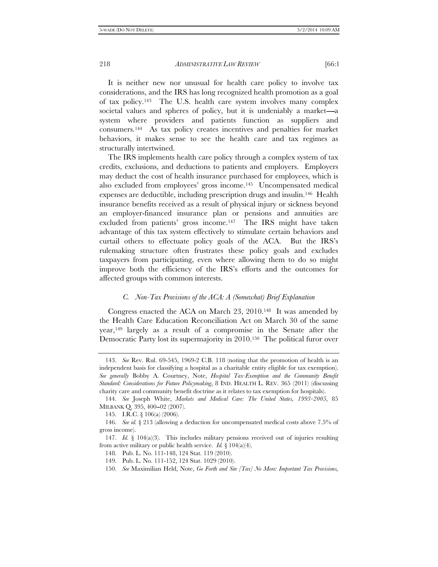It is neither new nor unusual for health care policy to involve tax considerations, and the IRS has long recognized health promotion as a goal of tax policy.143 The U.S. health care system involves many complex societal values and spheres of policy, but it is undeniably a market—a system where providers and patients function as suppliers and consumers.144 As tax policy creates incentives and penalties for market behaviors, it makes sense to see the health care and tax regimes as structurally intertwined.

The IRS implements health care policy through a complex system of tax credits, exclusions, and deductions to patients and employers. Employers may deduct the cost of health insurance purchased for employees, which is also excluded from employees' gross income.145 Uncompensated medical expenses are deductible, including prescription drugs and insulin.146 Health insurance benefits received as a result of physical injury or sickness beyond an employer-financed insurance plan or pensions and annuities are excluded from patients' gross income.<sup>147</sup> The IRS might have taken advantage of this tax system effectively to stimulate certain behaviors and curtail others to effectuate policy goals of the ACA. But the IRS's rulemaking structure often frustrates these policy goals and excludes taxpayers from participating, even where allowing them to do so might improve both the efficiency of the IRS's efforts and the outcomes for affected groups with common interests.

## *C. Non-Tax Provisions of the ACA: A (Somewhat) Brief Explanation*

Congress enacted the ACA on March 23, 2010.148 It was amended by the Health Care Education Reconciliation Act on March 30 of the same year,149 largely as a result of a compromise in the Senate after the Democratic Party lost its supermajority in 2010.150 The political furor over

 <sup>143.</sup> *See* Rev. Rul. 69-545, 1969-2 C.B. 118 (noting that the promotion of health is an independent basis for classifying a hospital as a charitable entity eligible for tax exemption). *See generally* Bobby A. Courtney, Note, *Hospital Tax-Exemption and the Community Benefit Standard: Considerations for Future Policymaking*, 8 IND. HEALTH L. REV. 365 (2011) (discussing charity care and community benefit doctrine as it relates to tax exemption for hospitals).

 <sup>144.</sup> *See* Joseph White, *Markets and Medical Care: The United States, 1993--2005*, 85 MILBANK Q. 395, 400-02 (2007).

 <sup>145.</sup> I.R.C. § 106(a) (2006).

 <sup>146.</sup> *See id.* § 213 (allowing a deduction for uncompensated medical costs above 7.5% of gross income).

 <sup>147.</sup> *Id.* § 104(a)(3). This includes military pensions received out of injuries resulting from active military or public health service. *Id.* § 104(a)(4).

 <sup>148.</sup> Pub. L. No. 111-148, 124 Stat. 119 (2010).

 <sup>149.</sup> Pub. L. No. 111-152, 124 Stat. 1029 (2010).

 <sup>150.</sup> *See* Maximilian Held, Note, *Go Forth and Sin [Tax] No More: Important Tax Provisions,*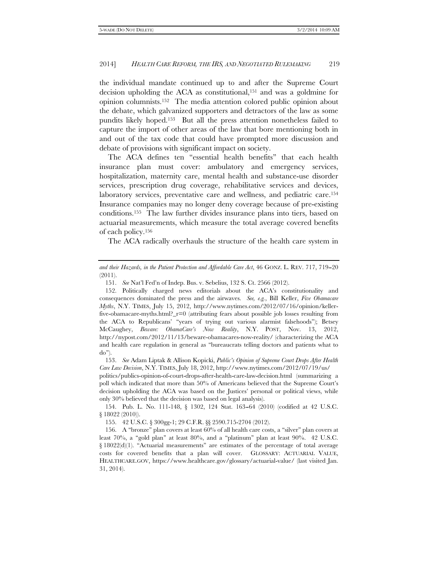the individual mandate continued up to and after the Supreme Court decision upholding the ACA as constitutional,151 and was a goldmine for opinion columnists.152 The media attention colored public opinion about the debate, which galvanized supporters and detractors of the law as some pundits likely hoped.153 But all the press attention nonetheless failed to capture the import of other areas of the law that bore mentioning both in and out of the tax code that could have prompted more discussion and debate of provisions with significant impact on society.

The ACA defines ten "essential health benefits" that each health insurance plan must cover: ambulatory and emergency services, hospitalization, maternity care, mental health and substance-use disorder services, prescription drug coverage, rehabilitative services and devices, laboratory services, preventative care and wellness, and pediatric care.<sup>154</sup> Insurance companies may no longer deny coverage because of pre-existing conditions.155 The law further divides insurance plans into tiers, based on actuarial measurements, which measure the total average covered benefits of each policy.156

The ACA radically overhauls the structure of the health care system in

*and their Hazards, in the Patient Protection and Affordable Care Act*, 46 GONZ. L. REV. 717, 719--20 (2011).

 <sup>151.</sup> *See* Nat'l Fed'n of Indep. Bus. v. Sebelius, 132 S. Ct. 2566 (2012).

 <sup>152.</sup> Politically charged news editorials about the ACA's constitutionality and consequences dominated the press and the airwaves. *See, e.g.*, Bill Keller, *Five Obamacare Myths*, N.Y. TIMES, July 15, 2012, http://www.nytimes.com/2012/07/16/opinion/kellerfive-obamacare-myths.html?\_r=0 (attributing fears about possible job losses resulting from the ACA to Republicans' ''years of trying out various alarmist falsehoods''); Betsey McCaughey, *Beware: ObamaCare's Now Reality*, N.Y. POST, Nov. 13, 2012, http://nypost.com/2012/11/13/beware-obamacares-now-reality/ (characterizing the ACA and health care regulation in general as ''bureaucrats telling doctors and patients what to do'').

 <sup>153.</sup> *See* Adam Liptak & Allison Kopicki, *Public's Opinion of Supreme Court Drops After Health Care Law Decision*, N.Y. TIMES, July 18, 2012, http://www.nytimes.com/2012/07/19/us/

politics/publics-opinion-of-court-drops-after-health-care-law-decision.html (summarizing a poll which indicated that more than 50% of Americans believed that the Supreme Court's decision upholding the ACA was based on the Justices' personal or political views, while only 30% believed that the decision was based on legal analysis).

<sup>154.</sup> Pub. L. No. 111-148, § 1302, 124 Stat. 163-64 (2010) (codified at 42 U.S.C. § 18022 (2010)).

 <sup>155. 42</sup> U.S.C. § 300gg-1; 29 C.F.R. §§ 2590.715-2704 (2012).

 <sup>156.</sup> A ''bronze'' plan covers at least 60% of all health care costs, a ''silver'' plan covers at least 70%, a "gold plan" at least 80%, and a "platinum" plan at least 90%. 42 U.S.C. § 18022(d)(1). "Actuarial measurements" are estimates of the percentage of total average costs for covered benefits that a plan will cover. GLOSSARY: ACTUARIAL VALUE, HEALTHCARE.GOV, https://www.healthcare.gov/glossary/actuarial-value/ (last visited Jan. 31, 2014).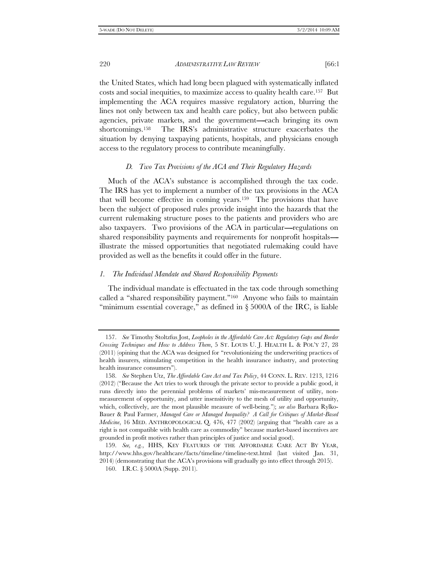the United States, which had long been plagued with systematically inflated costs and social inequities, to maximize access to quality health care.157 But implementing the ACA requires massive regulatory action, blurring the lines not only between tax and health care policy, but also between public agencies, private markets, and the government—each bringing its own shortcomings.158 The IRS's administrative structure exacerbates the situation by denying taxpaying patients, hospitals, and physicians enough access to the regulatory process to contribute meaningfully.

## *D. Two Tax Provisions of the ACA and Their Regulatory Hazards*

Much of the ACA's substance is accomplished through the tax code. The IRS has yet to implement a number of the tax provisions in the ACA that will become effective in coming years.159 The provisions that have been the subject of proposed rules provide insight into the hazards that the current rulemaking structure poses to the patients and providers who are also taxpayers. Two provisions of the ACA in particular-regulations on shared responsibility payments and requirements for nonprofit hospitals----- illustrate the missed opportunities that negotiated rulemaking could have provided as well as the benefits it could offer in the future.

## *1. The Individual Mandate and Shared Responsibility Payments*

The individual mandate is effectuated in the tax code through something called a ''shared responsibility payment.''160 Anyone who fails to maintain "minimum essential coverage," as defined in § 5000A of the IRC, is liable

 <sup>157.</sup> *See* Timothy Stoltzfus Jost, *Loopholes in the Affordable Care Act: Regulatory Gaps and Border Crossing Techniques and How to Address Them*, 5 ST. LOUIS U. J. HEALTH L. & POL'Y 27, 28 (2011) (opining that the ACA was designed for ''revolutionizing the underwriting practices of health insurers, stimulating competition in the health insurance industry, and protecting health insurance consumers'').

 <sup>158.</sup> *See* Stephen Utz, *The Affordable Care Act and Tax Policy*, 44 CONN. L. REV. 1213, 1216 (2012) (''Because the Act tries to work through the private sector to provide a public good, it runs directly into the perennial problems of markets' mis-measurement of utility, nonmeasurement of opportunity, and utter insensitivity to the mesh of utility and opportunity, which, collectively, are the most plausible measure of well-being.''); *see also* Barbara Rylko-Bauer & Paul Farmer, *Managed Care or Managed Inequality? A Call for Critiques of Market-Based Medicine*, 16 MED. ANTHROPOLOGICAL Q. 476, 477 (2002) (arguing that ''health care as a right is not compatible with health care as commodity'' because market-based incentives are grounded in profit motives rather than principles of justice and social good).

 <sup>159.</sup> *See, e.g.*, HHS, KEY FEATURES OF THE AFFORDABLE CARE ACT BY YEAR, http://www.hhs.gov/healthcare/facts/timeline/timeline-text.html (last visited Jan. 31, 2014) (demonstrating that the ACA's provisions will gradually go into effect through 2015).

 <sup>160.</sup> I.R.C. § 5000A (Supp. 2011).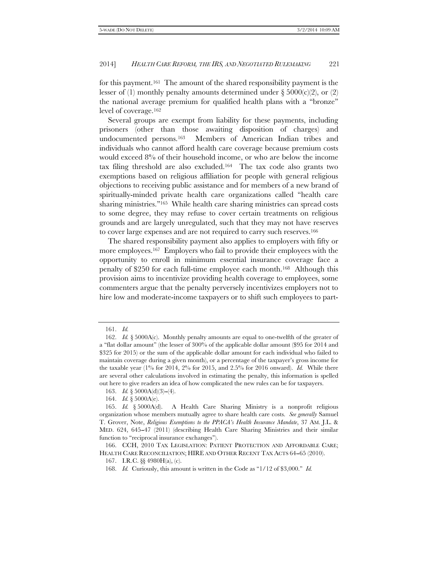for this payment.161 The amount of the shared responsibility payment is the lesser of (1) monthly penalty amounts determined under  $\S 5000(c)(2)$ , or (2) the national average premium for qualified health plans with a ''bronze'' level of coverage.162

Several groups are exempt from liability for these payments, including prisoners (other than those awaiting disposition of charges) and undocumented persons.163 Members of American Indian tribes and individuals who cannot afford health care coverage because premium costs would exceed 8% of their household income, or who are below the income tax filing threshold are also excluded.164 The tax code also grants two exemptions based on religious affiliation for people with general religious objections to receiving public assistance and for members of a new brand of spiritually-minded private health care organizations called ''health care sharing ministries."<sup>165</sup> While health care sharing ministries can spread costs to some degree, they may refuse to cover certain treatments on religious grounds and are largely unregulated, such that they may not have reserves to cover large expenses and are not required to carry such reserves.166

The shared responsibility payment also applies to employers with fifty or more employees.<sup>167</sup> Employers who fail to provide their employees with the opportunity to enroll in minimum essential insurance coverage face a penalty of \$250 for each full-time employee each month.168 Although this provision aims to incentivize providing health coverage to employees, some commenters argue that the penalty perversely incentivizes employers not to hire low and moderate-income taxpayers or to shift such employees to part-

 <sup>161.</sup> *Id.*

 <sup>162.</sup> *Id.* § 5000A(c). Monthly penalty amounts are equal to one-twelfth of the greater of a ''flat dollar amount'' (the lesser of 300% of the applicable dollar amount (\$95 for 2014 and \$325 for 2015) or the sum of the applicable dollar amount for each individual who failed to maintain coverage during a given month), or a percentage of the taxpayer's gross income for the taxable year (1% for 2014, 2% for 2015, and 2.5% for 2016 onward). *Id.* While there are several other calculations involved in estimating the penalty, this information is spelled out here to give readers an idea of how complicated the new rules can be for taxpayers.

<sup>163.</sup> *Id.* §  $5000A(d)(3)–(4)$ .

<sup>164.</sup> *Id.* § 5000A(e).<br>165. *Id.* § 5000A(d).

<sup>165.</sup> A Health Care Sharing Ministry is a nonprofit religious organization whose members mutually agree to share health care costs. *See generally* Samuel T. Grover, Note, *Religious Exemptions to the PPACA's Health Insurance Mandate*, 37 AM. J.L. & MED. 624, 645--47 (2011) (describing Health Care Sharing Ministries and their similar function to "reciprocal insurance exchanges").

 <sup>166.</sup> CCH, 2010 TAX LEGISLATION: PATIENT PROTECTION AND AFFORDABLE CARE; HEALTH CARE RECONCILIATION; HIRE AND OTHER RECENT TAX ACTS 64-65 (2010).

 <sup>167.</sup> I.R.C. §§ 4980H(a), (c).

<sup>168.</sup> *Id.* Curiously, this amount is written in the Code as "1/12 of \$3,000." *Id.*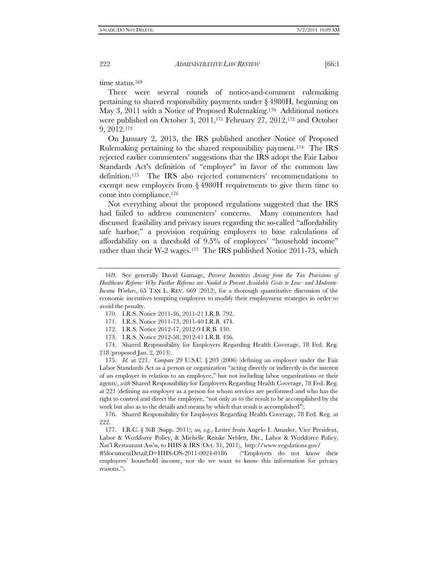time status.<sup>169</sup>

There were several rounds of notice-and-comment rulemaking pertaining to shared responsibility payments under § 4980H, beginning on May 3, 2011 with a Notice of Proposed Rulemaking.170 Additional notices were published on October 3, 2011,<sup>171</sup> February 27, 2012,<sup>172</sup> and October 9, 2012.173

On January 2, 2013, the IRS published another Notice of Proposed Rulemaking pertaining to the shared responsibility payment.174 The IRS rejected earlier commenters' suggestions that the IRS adopt the Fair Labor Standards Act's definition of "employer" in favor of the common law definition.175 The IRS also rejected commenters' recommendations to exempt new employers from § 4980H requirements to give them time to come into compliance.176

Not everything about the proposed regulations suggested that the IRS had failed to address commenters' concerns. Many commenters had discussed feasibility and privacy issues regarding the so-called ''affordability safe harbor," a provision requiring employers to base calculations of affordability on a threshold of 9.5% of employees' ''household income'' rather than their W-2 wages.<sup>177</sup> The IRS published Notice 2011-73, which

 175. *Id.* at 221. *Compare* 29 U.S.C. § 203 (2006) (defining an employer under the Fair Labor Standards Act as a person or organization ''acting directly or indirectly in the interest of an employer in relation to an employee,'' but not including labor organizations or their agents), *with* Shared Responsibility for Employers Regarding Health Coverage, 78 Fed. Reg. at 221 (defining an employer as a person for whom services are performed and who has the right to control and direct the employee, ''not only as to the result to be accomplished by the work but also as to the details and means by which that result is accomplished'').

 176. Shared Responsibility for Employers Regarding Health Coverage, 78 Fed. Reg. at 222.

 177. I.R.C. § 36B (Supp. 2011); *see, e.g.*, Letter from Angelo I. Amador, Vice President, Labor & Workforce Policy, & Michelle Reinke Neblett, Dir., Labor & Workforce Policy, Nat'l Restaurant Ass'n, to HHS & IRS (Oct. 31, 2011), http://www.regulations.gov/

#!documentDetail;D=HHS-OS-2011-0024-0186 ("Employers do not know their employees' household income, nor do we want to know this information for privacy reasons.'').

 <sup>169.</sup> See generally David Gamage, *Perverse Incentives Arising from the Tax Provisions of Healthcare Reform: Why Further Reforms are Needed to Prevent Avoidable Costs to Low- and Moderate-Income Workers*, 65 TAX L. REV. 669 (2012), for a thorough quantitative discussion of the economic incentives tempting employers to modify their employment strategies in order to avoid the penalty.

 <sup>170.</sup> I.R.S. Notice 2011-36, 2011-21 I.R.B. 792.

 <sup>171.</sup> I.R.S. Notice 2011-73, 2011-40 I.R.B. 474.

 <sup>172.</sup> I.R.S. Notice 2012-17, 2012-9 I.R.B. 430.

 <sup>173.</sup> I.R.S. Notice 2012-58, 2012-41 I.R.B. 436.

 <sup>174.</sup> Shared Responsibility for Employers Regarding Health Coverage, 78 Fed. Reg. 218 (proposed Jan. 2, 2013).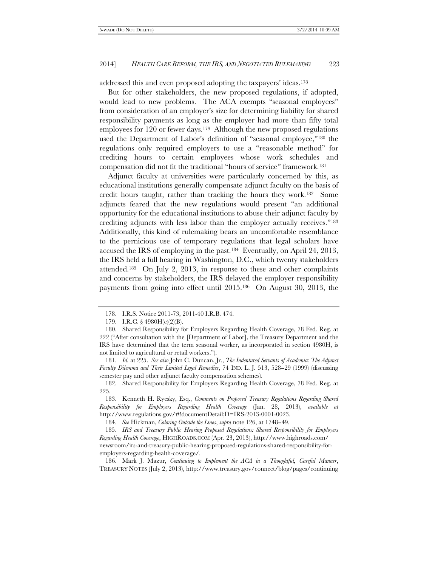addressed this and even proposed adopting the taxpayers' ideas.178

But for other stakeholders, the new proposed regulations, if adopted, would lead to new problems. The ACA exempts ''seasonal employees'' from consideration of an employer's size for determining liability for shared responsibility payments as long as the employer had more than fifty total employees for 120 or fewer days.179 Although the new proposed regulations used the Department of Labor's definition of ''seasonal employee,''180 the regulations only required employers to use a ''reasonable method'' for crediting hours to certain employees whose work schedules and compensation did not fit the traditional ''hours of service'' framework.181

Adjunct faculty at universities were particularly concerned by this, as educational institutions generally compensate adjunct faculty on the basis of credit hours taught, rather than tracking the hours they work.182 Some adjuncts feared that the new regulations would present ''an additional opportunity for the educational institutions to abuse their adjunct faculty by crediting adjuncts with less labor than the employer actually receives.''183 Additionally, this kind of rulemaking bears an uncomfortable resemblance to the pernicious use of temporary regulations that legal scholars have accused the IRS of employing in the past.184 Eventually, on April 24, 2013, the IRS held a full hearing in Washington, D.C., which twenty stakeholders attended.185 On July 2, 2013, in response to these and other complaints and concerns by stakeholders, the IRS delayed the employer responsibility payments from going into effect until 2015.186 On August 30, 2013, the

 <sup>178.</sup> I.R.S. Notice 2011-73, 2011-40 I.R.B. 474.

 <sup>179.</sup> I.R.C. § 4980H(c)(2)(B).

 <sup>180.</sup> Shared Responsibility for Employers Regarding Health Coverage, 78 Fed. Reg. at 222 (''After consultation with the [Department of Labor], the Treasury Department and the IRS have determined that the term seasonal worker, as incorporated in section 4980H, is not limited to agricultural or retail workers.'').

 <sup>181.</sup> *Id.* at 225. *See also* John C. Duncan, Jr., *The Indentured Servants of Academia: The Adjunct Faculty Dilemma and Their Limited Legal Remedies*, 74 IND. L. J. 513, 528–29 (1999) (discussing semester pay and other adjunct faculty compensation schemes).

 <sup>182.</sup> Shared Responsibility for Employers Regarding Health Coverage, 78 Fed. Reg. at 225.

 <sup>183.</sup> Kenneth H. Ryesky, Esq., *Comments on Proposed Treasury Regulations Regarding Shared Responsibility for Employers Regarding Health Coverage* (Jan. 28, 2013), *available at* http://www.regulations.gov/#!documentDetail;D=IRS-2013-0001-0023.

 <sup>184.</sup> *See* Hickman, *Coloring Outside the Lines*, *supra* note 126, at 1748--49.

 <sup>185.</sup> *IRS and Treasury Public Hearing Proposed Regulations: Shared Responsibility for Employers Regarding Health Coverage*, HIGHROADS.COM (Apr. 23, 2013), http://www.highroads.com/ newsroom/irs-and-treasury-public-hearing-proposed-regulations-shared-responsibility-foremployers-regarding-health-coverage/.

 <sup>186.</sup> Mark J. Mazur, *Continuing to Implement the ACA in a Thoughtful, Careful Manner*, TREASURY NOTES (July 2, 2013), http://www.treasury.gov/connect/blog/pages/continuing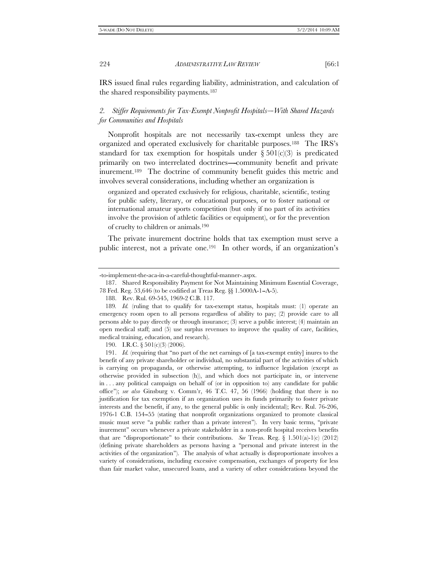IRS issued final rules regarding liability, administration, and calculation of the shared responsibility payments.187

# 2. Stiffer Requirements for Tax-Exempt Nonprofit Hospitals-With Shared Hazards *for Communities and Hospitals*

Nonprofit hospitals are not necessarily tax-exempt unless they are organized and operated exclusively for charitable purposes.188 The IRS's standard for tax exemption for hospitals under  $\S 501(c)(3)$  is predicated primarily on two interrelated doctrines—community benefit and private inurement.189 The doctrine of community benefit guides this metric and involves several considerations, including whether an organization is

organized and operated exclusively for religious, charitable, scientific, testing for public safety, literary, or educational purposes, or to foster national or international amateur sports competition (but only if no part of its activities involve the provision of athletic facilities or equipment), or for the prevention of cruelty to children or animals.190

The private inurement doctrine holds that tax exemption must serve a public interest, not a private one.<sup>191</sup> In other words, if an organization's

190. I.R.C. § 501(c)(3) (2006).

<sup>-</sup>to-implement-the-aca-in-a-careful-thoughtful-manner-.aspx.

 <sup>187.</sup> Shared Responsibility Payment for Not Maintaining Minimum Essential Coverage, 78 Fed. Reg. 53,646 (to be codified at Treas Reg. §§ 1.5000A-1--A-5).

 <sup>188.</sup> Rev. Rul. 69-545, 1969-2 C.B. 117.

<sup>189</sup>*. Id.* (ruling that to qualify for tax-exempt status, hospitals must: (1) operate an emergency room open to all persons regardless of ability to pay; (2) provide care to all persons able to pay directly or through insurance; (3) serve a public interest; (4) maintain an open medical staff; and (5) use surplus revenues to improve the quality of care, facilities, medical training, education, and research).

 <sup>191.</sup> *Id.* (requiring that ''no part of the net earnings of [a tax-exempt entity] inures to the benefit of any private shareholder or individual, no substantial part of the activities of which is carrying on propaganda, or otherwise attempting, to influence legislation (except as otherwise provided in subsection (h)), and which does not participate in, or intervene in . . . any political campaign on behalf of (or in opposition to) any candidate for public office''); *see also* Ginsburg v. Comm'r, 46 T.C. 47, 56 (1966) (holding that there is no justification for tax exemption if an organization uses its funds primarily to foster private interests and the benefit, if any, to the general public is only incidental); Rev. Rul. 76-206, 1976-1 C.B. 154--55 (stating that nonprofit organizations organized to promote classical music must serve "a public rather than a private interest"). In very basic terms, "private inurement'' occurs whenever a private stakeholder in a non-profit hospital receives benefits that are "disproportionate" to their contributions. *See* Treas. Reg.  $\S$  1.501(a)-1(c) (2012) (defining private shareholders as persons having a ''personal and private interest in the activities of the organization''). The analysis of what actually is disproportionate involves a variety of considerations, including excessive compensation, exchanges of property for less than fair market value, unsecured loans, and a variety of other considerations beyond the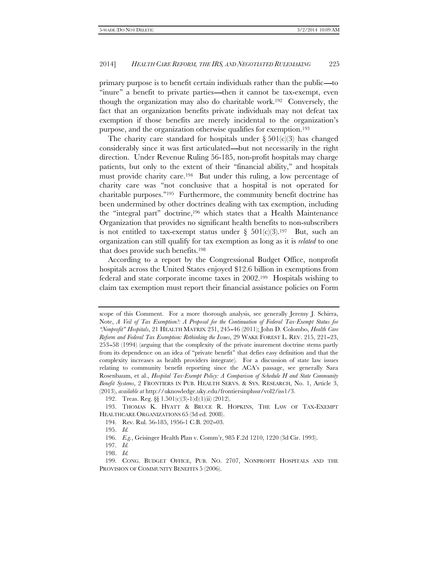primary purpose is to benefit certain individuals rather than the public—to "inure" a benefit to private parties—then it cannot be tax-exempt, even though the organization may also do charitable work.192 Conversely, the fact that an organization benefits private individuals may not defeat tax exemption if those benefits are merely incidental to the organization's purpose, and the organization otherwise qualifies for exemption.193

The charity care standard for hospitals under  $\S 501(c)(3)$  has changed considerably since it was first articulated—but not necessarily in the right direction. Under Revenue Ruling 56-185, non-profit hospitals may charge patients, but only to the extent of their ''financial ability,'' and hospitals must provide charity care.194 But under this ruling, a low percentage of charity care was ''not conclusive that a hospital is not operated for charitable purposes.''195 Furthermore, the community benefit doctrine has been undermined by other doctrines dealing with tax exemption, including the ''integral part'' doctrine,196 which states that a Health Maintenance Organization that provides no significant health benefits to non-subscribers is not entitled to tax-exempt status under  $\S 501(c)(3).197$  But, such an organization can still qualify for tax exemption as long as it is *related* to one that does provide such benefits.198

According to a report by the Congressional Budget Office, nonprofit hospitals across the United States enjoyed \$12.6 billion in exemptions from federal and state corporate income taxes in 2002.199 Hospitals wishing to claim tax exemption must report their financial assistance policies on Form

scope of this Comment. For a more thorough analysis, see generally Jeremy J. Schirra, Note, *A Veil of Tax Exemption?: A Proposal for the Continuation of Federal Tax-Exempt Status for ''Nonprofit'' Hospitals*, 21 HEALTH MATRIX 231, 245--46 (2011); John D. Colombo, *Health Care Reform and Federal Tax Exemption: Rethinking the Issues*, 29 WAKE FOREST L. REV. 215, 221-23, 253--58 (1994) (arguing that the complexity of the private inurement doctrine stems partly from its dependence on an idea of ''private benefit'' that defies easy definition and that the complexity increases as health providers integrate). For a discussion of state law issues relating to community benefit reporting since the ACA's passage, see generally Sara Rosenbaum, et al., *Hospital Tax-Exempt Policy: A Comparison of Schedule H and State Community Benefit Systems*, 2 FRONTIERS IN PUB. HEALTH SERVS. & SYS. RESEARCH, No. 1, Article 3, (2013), *available at* http://uknowledge.uky.edu/frontiersinphssr/vol2/iss1/3.

 <sup>192.</sup> Treas. Reg. §§ 1.501(c)(3)-1(d)(1)(ii) (2012).

 <sup>193.</sup> THOMAS K. HYATT & BRUCE R. HOPKINS, THE LAW OF TAX-EXEMPT HEALTHCARE ORGANIZATIONS 65 (3d ed. 2008).

<sup>194.</sup> Rev. Rul. 56-185, 1956-1 C.B. 202-03.

 <sup>195.</sup> *Id.*

 <sup>196.</sup> *E.g.*, Geisinger Health Plan v. Comm'r, 985 F.2d 1210, 1220 (3d Cir. 1993).

 <sup>197.</sup> *Id.*

 <sup>198.</sup> *Id.*

 <sup>199.</sup> CONG. BUDGET OFFICE, PUB. NO. 2707, NONPROFIT HOSPITALS AND THE PROVISION OF COMMUNITY BENEFITS 5 (2006).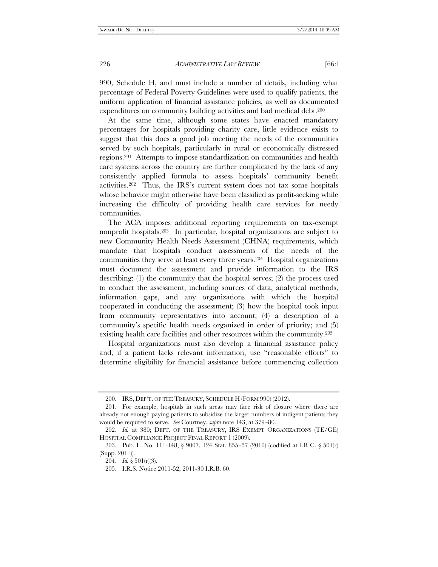990, Schedule H, and must include a number of details, including what percentage of Federal Poverty Guidelines were used to qualify patients, the uniform application of financial assistance policies, as well as documented expenditures on community building activities and bad medical debt.<sup>200</sup>

At the same time, although some states have enacted mandatory percentages for hospitals providing charity care, little evidence exists to suggest that this does a good job meeting the needs of the communities served by such hospitals, particularly in rural or economically distressed regions.201 Attempts to impose standardization on communities and health care systems across the country are further complicated by the lack of any consistently applied formula to assess hospitals' community benefit activities.202 Thus, the IRS's current system does not tax some hospitals whose behavior might otherwise have been classified as profit-seeking while increasing the difficulty of providing health care services for needy communities.

The ACA imposes additional reporting requirements on tax-exempt nonprofit hospitals.203 In particular, hospital organizations are subject to new Community Health Needs Assessment (CHNA) requirements, which mandate that hospitals conduct assessments of the needs of the communities they serve at least every three years.204 Hospital organizations must document the assessment and provide information to the IRS describing: (1) the community that the hospital serves; (2) the process used to conduct the assessment, including sources of data, analytical methods, information gaps, and any organizations with which the hospital cooperated in conducting the assessment; (3) how the hospital took input from community representatives into account; (4) a description of a community's specific health needs organized in order of priority; and (5) existing health care facilities and other resources within the community.205

Hospital organizations must also develop a financial assistance policy and, if a patient lacks relevant information, use ''reasonable efforts'' to determine eligibility for financial assistance before commencing collection

 <sup>200.</sup> IRS, DEP'T. OF THE TREASURY, SCHEDULE H (FORM 990) (2012).

 <sup>201.</sup> For example, hospitals in such areas may face risk of closure where there are already not enough paying patients to subsidize the larger numbers of indigent patients they would be required to serve. *See* Courtney, *supra* note 143, at 379–80.

 <sup>202.</sup> *Id.* at 380; DEPT. OF THE TREASURY, IRS EXEMPT ORGANIZATIONS (TE/GE) HOSPITAL COMPLIANCE PROJECT FINAL REPORT 1 (2009).

<sup>203.</sup> Pub. L. No. 111-148, § 9007, 124 Stat. 855-57 (2010) (codified at I.R.C. § 501(r) (Supp. 2011)).

 <sup>204.</sup> *Id.* § 501(r)(3).

 <sup>205.</sup> I.R.S. Notice 2011-52, 2011-30 I.R.B. 60.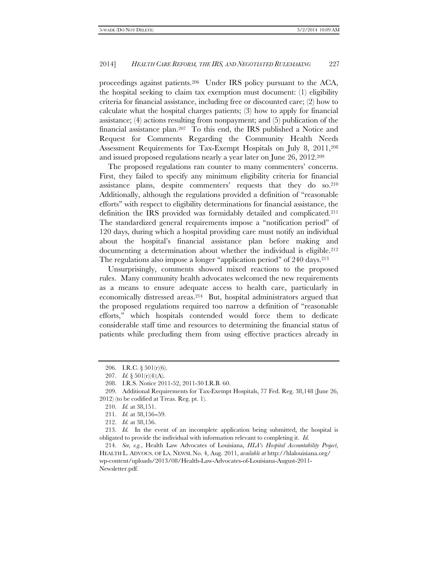proceedings against patients.206 Under IRS policy pursuant to the ACA, the hospital seeking to claim tax exemption must document: (1) eligibility criteria for financial assistance, including free or discounted care; (2) how to calculate what the hospital charges patients; (3) how to apply for financial assistance; (4) actions resulting from nonpayment; and (5) publication of the financial assistance plan.207 To this end, the IRS published a Notice and Request for Comments Regarding the Community Health Needs Assessment Requirements for Tax-Exempt Hospitals on July 8, 2011,<sup>208</sup> and issued proposed regulations nearly a year later on June 26, 2012.209

The proposed regulations ran counter to many commenters' concerns. First, they failed to specify any minimum eligibility criteria for financial assistance plans, despite commenters' requests that they do so.210 Additionally, although the regulations provided a definition of ''reasonable efforts'' with respect to eligibility determinations for financial assistance, the definition the IRS provided was formidably detailed and complicated.211 The standardized general requirements impose a ''notification period'' of 120 days, during which a hospital providing care must notify an individual about the hospital's financial assistance plan before making and documenting a determination about whether the individual is eligible.<sup>212</sup> The regulations also impose a longer "application period" of 240 days.<sup>213</sup>

Unsurprisingly, comments showed mixed reactions to the proposed rules. Many community health advocates welcomed the new requirements as a means to ensure adequate access to health care, particularly in economically distressed areas.214 But, hospital administrators argued that the proposed regulations required too narrow a definition of ''reasonable efforts,'' which hospitals contended would force them to dedicate considerable staff time and resources to determining the financial status of patients while precluding them from using effective practices already in

<sup>206.</sup> I.R.C.  $\S 501(r)(6)$ .

<sup>207.</sup> *Id.*  $\S 501(r)(4)(A)$ .

 <sup>208.</sup> I.R.S. Notice 2011-52, 2011-30 I.R.B. 60.

 <sup>209.</sup> Additional Requirements for Tax-Exempt Hospitals, 77 Fed. Reg. 38,148 (June 26, 2012) (to be codified at Treas. Reg. pt. 1).

 <sup>210.</sup> *Id.* at 38,151.

<sup>211.</sup> *Id.* at 38,156-59.

 <sup>212.</sup> *Id.* at 38,156.

 <sup>213.</sup> *Id.* In the event of an incomplete application being submitted, the hospital is obligated to provide the individual with information relevant to completing it. *Id.*

 <sup>214.</sup> *See, e.g.*, Health Law Advocates of Louisiana, *HLA's Hospital Accountability Project*, HEALTH L. ADVOCS. OF LA. NEWSL No. 4, Aug. 2011, *available at* http://hlalouisiana.org/ wp-content/uploads/2013/08/Health-Law-Advocates-of-Louisiana-August-2011- Newsletter.pdf.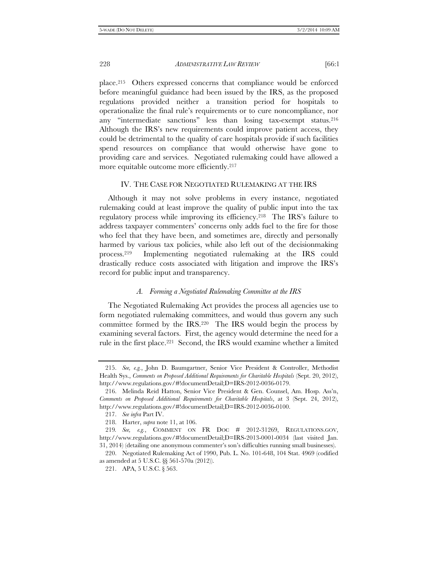place.215 Others expressed concerns that compliance would be enforced before meaningful guidance had been issued by the IRS, as the proposed regulations provided neither a transition period for hospitals to operationalize the final rule's requirements or to cure noncompliance, nor any ''intermediate sanctions'' less than losing tax-exempt status.216 Although the IRS's new requirements could improve patient access, they could be detrimental to the quality of care hospitals provide if such facilities spend resources on compliance that would otherwise have gone to providing care and services. Negotiated rulemaking could have allowed a more equitable outcome more efficiently.<sup>217</sup>

#### IV. THE CASE FOR NEGOTIATED RULEMAKING AT THE IRS

Although it may not solve problems in every instance, negotiated rulemaking could at least improve the quality of public input into the tax regulatory process while improving its efficiency.218 The IRS's failure to address taxpayer commenters' concerns only adds fuel to the fire for those who feel that they have been, and sometimes are, directly and personally harmed by various tax policies, while also left out of the decisionmaking process.219 Implementing negotiated rulemaking at the IRS could drastically reduce costs associated with litigation and improve the IRS's record for public input and transparency.

### *A. Forming a Negotiated Rulemaking Committee at the IRS*

The Negotiated Rulemaking Act provides the process all agencies use to form negotiated rulemaking committees, and would thus govern any such committee formed by the IRS.220 The IRS would begin the process by examining several factors. First, the agency would determine the need for a rule in the first place.221 Second, the IRS would examine whether a limited

 <sup>215.</sup> *See, e.g.*, John D. Baumgartner, Senior Vice President & Controller, Methodist Health Sys., *Comments on Proposed Additional Requirements for Charitable Hospitals* (Sept. 20, 2012), http://www.regulations.gov/#!documentDetail;D=IRS-2012-0036-0179.

 <sup>216.</sup> Melinda Reid Hatton, Senior Vice President & Gen. Counsel, Am. Hosp. Ass'n, *Comments on Proposed Additional Requirements for Charitable Hospitals*, at 3 (Sept. 24, 2012), http://www.regulations.gov/#!documentDetail;D=IRS-2012-0036-0100.

 <sup>217.</sup> *See infra* Part IV.

 <sup>218.</sup> Harter, *supra* note 11, at 106.

<sup>219</sup>*. See, e.g.*, COMMENT ON FR DOC # 2012-31269, REGULATIONS.GOV, http://www.regulations.gov/#!documentDetail;D=IRS-2013-0001-0034 (last visited Jan. 31, 2014) (detailing one anonymous commenter's son's difficulties running small businesses).

 <sup>220.</sup> Negotiated Rulemaking Act of 1990, Pub. L. No. 101-648, 104 Stat. 4969 (codified as amended at 5 U.S.C. §§ 561-570a (2012)).

 <sup>221.</sup> APA, 5 U.S.C. § 563.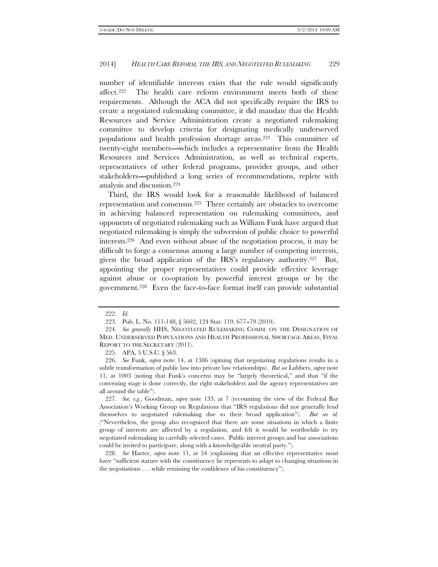number of identifiable interests exists that the rule would significantly affect.222 The health care reform environment meets both of these requirements. Although the ACA did not specifically require the IRS to create a negotiated rulemaking committee, it did mandate that the Health Resources and Service Administration create a negotiated rulemaking committee to develop criteria for designating medically underserved populations and health profession shortage areas.223 This committee of twenty-eight members—which includes a representative from the Health Resources and Services Administration, as well as technical experts, representatives of other federal programs, provider groups, and other stakeholders—published a long series of recommendations, replete with analysis and discussion.224

Third, the IRS would look for a reasonable likelihood of balanced representation and consensus.225 There certainly are obstacles to overcome in achieving balanced representation on rulemaking committees, and opponents of negotiated rulemaking such as William Funk have argued that negotiated rulemaking is simply the subversion of public choice to powerful interests.226 And even without abuse of the negotiation process, it may be difficult to forge a consensus among a large number of competing interests, given the broad application of the IRS's regulatory authority.227 But, appointing the proper representatives could provide effective leverage against abuse or co-optation by powerful interest groups or by the government.228 Even the face-to-face format itself can provide substantial

225. APA, 5 U.S.C. § 563.

 <sup>222.</sup> *Id.*

<sup>223.</sup> Pub. L. No. 111-148, § 5602, 124 Stat. 119, 677-79 (2010).

 <sup>224.</sup> *See generally* HHS, NEGOTIATED RULEMAKING COMM. ON THE DESIGNATION OF MED. UNDERSERVED POPULATIONS AND HEALTH PROFESSIONAL SHORTAGE AREAS, FINAL REPORT TO THE SECRETARY (2011).

 <sup>226.</sup> *See* Funk, *supra* note 14, at 1386 (opining that negotiating regulations results in a subtle transformation of public law into private law relationships). *But see* Lubbers, *supra* note 11, at 1003 (noting that Funk's concerns may be ''largely theoretical,'' and that ''if the convening stage is done correctly, the right stakeholders and the agency representatives are all around the table'').

 <sup>227.</sup> *See, e.g.*, Goodman, *supra* note 133, at 7 (recounting the view of the Federal Bar Association's Working Group on Regulations that ''IRS regulations did not generally lend themselves to negotiated rulemaking due to their broad application''). *But see id.* (''Nevertheless, the group also recognized that there are some situations in which a finite group of interests are affected by a regulation, and felt it would be worthwhile to try negotiated rulemaking in carefully selected cases. Public interest groups and bar associations could be invited to participate, along with a knowledgeable neutral party.'').

 <sup>228.</sup> *See* Harter, *supra* note 11, at 54 (explaining that an effective representative must have "sufficient stature with the constituency he represents to adapt to changing situations in the negotiations . . . while retaining the confidence of his constituency'').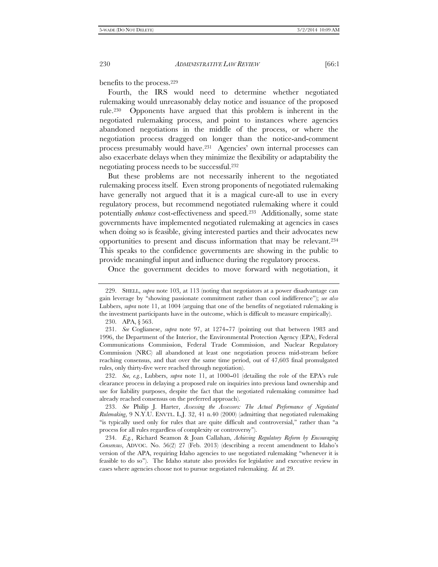benefits to the process.229

Fourth, the IRS would need to determine whether negotiated rulemaking would unreasonably delay notice and issuance of the proposed rule.230 Opponents have argued that this problem is inherent in the negotiated rulemaking process, and point to instances where agencies abandoned negotiations in the middle of the process, or where the negotiation process dragged on longer than the notice-and-comment process presumably would have.231 Agencies' own internal processes can also exacerbate delays when they minimize the flexibility or adaptability the negotiating process needs to be successful.232

But these problems are not necessarily inherent to the negotiated rulemaking process itself. Even strong proponents of negotiated rulemaking have generally not argued that it is a magical cure-all to use in every regulatory process, but recommend negotiated rulemaking where it could potentially *enhance* cost-effectiveness and speed.233 Additionally, some state governments have implemented negotiated rulemaking at agencies in cases when doing so is feasible, giving interested parties and their advocates new opportunities to present and discuss information that may be relevant.234 This speaks to the confidence governments are showing in the public to provide meaningful input and influence during the regulatory process.

Once the government decides to move forward with negotiation, it

230. APA, § 563.

232. *See, e.g.*, Lubbers, *supra* note 11, at 1000–01 (detailing the role of the EPA's rule clearance process in delaying a proposed rule on inquiries into previous land ownership and use for liability purposes, despite the fact that the negotiated rulemaking committee had already reached consensus on the preferred approach).

 233. *See* Philip J. Harter, *Assessing the Assessors: The Actual Performance of Negotiated Rulemaking*, 9 N.Y.U. ENVTL. L.J. 32, 41 n.40 (2000) (admitting that negotiated rulemaking "is typically used only for rules that are quite difficult and controversial," rather than "a process for all rules regardless of complexity or controversy'').

 234. *E.g.*, Richard Seamon & Joan Callahan, *Achieving Regulatory Reform by Encouraging Consensus*, ADVOC. No. 56(2) 27 (Feb. 2013) (describing a recent amendment to Idaho's version of the APA, requiring Idaho agencies to use negotiated rulemaking ''whenever it is feasible to do so''). The Idaho statute also provides for legislative and executive review in cases where agencies choose not to pursue negotiated rulemaking. *Id.* at 29.

 <sup>229.</sup> SHELL, *supra* note 103, at 113 (noting that negotiators at a power disadvantage can gain leverage by ''showing passionate commitment rather than cool indifference''); *see also* Lubbers, *supra* note 11, at 1004 (arguing that one of the benefits of negotiated rulemaking is the investment participants have in the outcome, which is difficult to measure empirically).

<sup>231.</sup> See Coglianese, *supra* note 97, at 1274–77 (pointing out that between 1983 and 1996, the Department of the Interior, the Environmental Protection Agency (EPA), Federal Communications Commission, Federal Trade Commission, and Nuclear Regulatory Commission (NRC) all abandoned at least one negotiation process mid-stream before reaching consensus, and that over the same time period, out of 47,603 final promulgated rules, only thirty-five were reached through negotiation).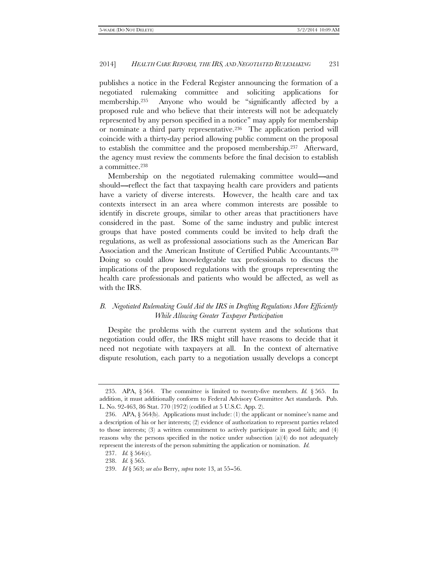publishes a notice in the Federal Register announcing the formation of a negotiated rulemaking committee and soliciting applications for membership.235 Anyone who would be ''significantly affected by a proposed rule and who believe that their interests will not be adequately represented by any person specified in a notice'' may apply for membership or nominate a third party representative.236 The application period will coincide with a thirty-day period allowing public comment on the proposal to establish the committee and the proposed membership.237 Afterward, the agency must review the comments before the final decision to establish a committee.238

Membership on the negotiated rulemaking committee would—and should—reflect the fact that taxpaying health care providers and patients have a variety of diverse interests. However, the health care and tax contexts intersect in an area where common interests are possible to identify in discrete groups, similar to other areas that practitioners have considered in the past. Some of the same industry and public interest groups that have posted comments could be invited to help draft the regulations, as well as professional associations such as the American Bar Association and the American Institute of Certified Public Accountants.239 Doing so could allow knowledgeable tax professionals to discuss the implications of the proposed regulations with the groups representing the health care professionals and patients who would be affected, as well as with the IRS.

# *B. Negotiated Rulemaking Could Aid the IRS in Drafting Regulations More Efficiently While Allowing Greater Taxpayer Participation*

Despite the problems with the current system and the solutions that negotiation could offer, the IRS might still have reasons to decide that it need not negotiate with taxpayers at all. In the context of alternative dispute resolution, each party to a negotiation usually develops a concept

 <sup>235.</sup> APA, § 564. The committee is limited to twenty-five members. *Id.* § 565. In addition, it must additionally conform to Federal Advisory Committee Act standards. Pub. L. No. 92-463, 86 Stat. 770 (1972) (codified at 5 U.S.C. App. 2).

 <sup>236.</sup> APA, § 564(b). Applications must include: (1) the applicant or nominee's name and a description of his or her interests; (2) evidence of authorization to represent parties related to those interests;  $(3)$  a written commitment to actively participate in good faith; and  $(4)$ reasons why the persons specified in the notice under subsection  $(a)(4)$  do not adequately represent the interests of the person submitting the application or nomination. *Id.*

 <sup>237.</sup> *Id.* § 564(c).

 <sup>238.</sup> *Id.* § 565.

 <sup>239.</sup> *Id* § 563; *see also* Berry, *supra* note 13, at 55--56.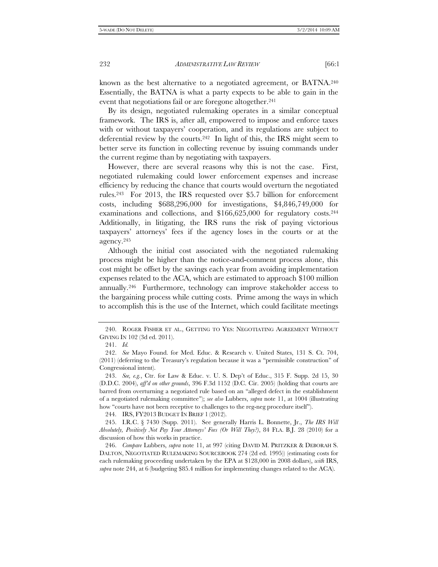known as the best alternative to a negotiated agreement, or BATNA.240 Essentially, the BATNA is what a party expects to be able to gain in the event that negotiations fail or are foregone altogether.<sup>241</sup>

By its design, negotiated rulemaking operates in a similar conceptual framework. The IRS is, after all, empowered to impose and enforce taxes with or without taxpayers' cooperation, and its regulations are subject to deferential review by the courts.242 In light of this, the IRS might seem to better serve its function in collecting revenue by issuing commands under the current regime than by negotiating with taxpayers.

However, there are several reasons why this is not the case. First, negotiated rulemaking could lower enforcement expenses and increase efficiency by reducing the chance that courts would overturn the negotiated rules.243 For 2013, the IRS requested over \$5.7 billion for enforcement costs, including \$688,296,000 for investigations, \$4,846,749,000 for examinations and collections, and \$166,625,000 for regulatory costs.244 Additionally, in litigating, the IRS runs the risk of paying victorious taxpayers' attorneys' fees if the agency loses in the courts or at the agency.245

Although the initial cost associated with the negotiated rulemaking process might be higher than the notice-and-comment process alone, this cost might be offset by the savings each year from avoiding implementation expenses related to the ACA, which are estimated to approach \$100 million annually.246 Furthermore, technology can improve stakeholder access to the bargaining process while cutting costs. Prime among the ways in which to accomplish this is the use of the Internet, which could facilitate meetings

244. IRS, FY2013 BUDGET IN BRIEF 1 (2012).

 <sup>240.</sup> ROGER FISHER ET AL., GETTING TO YES: NEGOTIATING AGREEMENT WITHOUT GIVING IN 102 (3d ed. 2011).

 <sup>241.</sup> *Id.*

 <sup>242.</sup> *See* Mayo Found. for Med. Educ. & Research v. United States, 131 S. Ct. 704, (2011) (deferring to the Treasury's regulation because it was a ''permissible construction'' of Congressional intent).

 <sup>243.</sup> *See, e.g.*, Ctr. for Law & Educ. v. U. S. Dep't of Educ., 315 F. Supp. 2d 15, 30 (D.D.C. 2004), *aff'd on other grounds*, 396 F.3d 1152 (D.C. Cir. 2005) (holding that courts are barred from overturning a negotiated rule based on an ''alleged defect in the establishment of a negotiated rulemaking committee''); *see also* Lubbers, *supra* note 11, at 1004 (illustrating how ''courts have not been receptive to challenges to the reg-neg procedure itself'').

 <sup>245.</sup> I.R.C. § 7430 (Supp. 2011). See generally Harris L. Bonnette, Jr., *The IRS Will Absolutely, Positively Not Pay Your Attorneys' Fees (Or Will They?)*, 84 FLA. B.J. 28 (2010) for a discussion of how this works in practice.

 <sup>246.</sup> *Compare* Lubbers, *supra* note 11, at 997 (citing DAVID M. PRITZKER & DEBORAH S. DALTON, NEGOTIATED RULEMAKING SOURCEBOOK 274 (2d ed. 1995)) (estimating costs for each rulemaking proceeding undertaken by the EPA at \$128,000 in 2008 dollars), *with* IRS, *supra* note 244, at 6 (budgeting \$85.4 million for implementing changes related to the ACA).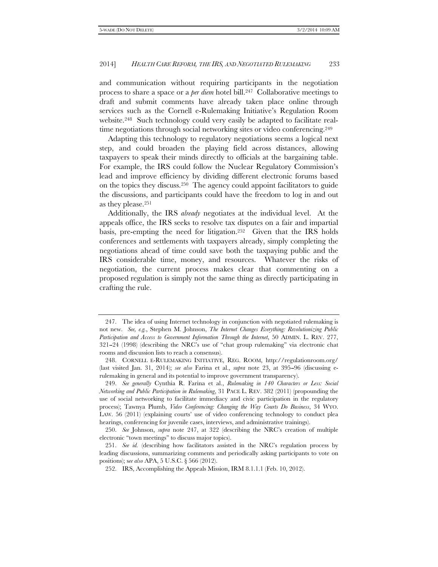and communication without requiring participants in the negotiation process to share a space or a *per diem* hotel bill.247 Collaborative meetings to draft and submit comments have already taken place online through services such as the Cornell e-Rulemaking Initiative's Regulation Room website.248 Such technology could very easily be adapted to facilitate realtime negotiations through social networking sites or video conferencing.<sup>249</sup>

Adapting this technology to regulatory negotiations seems a logical next step, and could broaden the playing field across distances, allowing taxpayers to speak their minds directly to officials at the bargaining table. For example, the IRS could follow the Nuclear Regulatory Commission's lead and improve efficiency by dividing different electronic forums based on the topics they discuss.250 The agency could appoint facilitators to guide the discussions, and participants could have the freedom to log in and out as they please.251

Additionally, the IRS *already* negotiates at the individual level. At the appeals office, the IRS seeks to resolve tax disputes on a fair and impartial basis, pre-empting the need for litigation.252 Given that the IRS holds conferences and settlements with taxpayers already, simply completing the negotiations ahead of time could save both the taxpaying public and the IRS considerable time, money, and resources. Whatever the risks of negotiation, the current process makes clear that commenting on a proposed regulation is simply not the same thing as directly participating in crafting the rule.

 <sup>247.</sup> The idea of using Internet technology in conjunction with negotiated rulemaking is not new. *See, e.g.*, Stephen M. Johnson, *The Internet Changes Everything: Revolutionizing Public Participation and Access to Government Information Through the Internet*, 50 ADMIN. L. REV. 277,  $321-24$  (1998) (describing the NRC's use of "chat group rulemaking" via electronic chat rooms and discussion lists to reach a consensus).

 <sup>248.</sup> CORNELL E-RULEMAKING INITIATIVE, REG. ROOM, http://regulationroom.org/ (last visited Jan. 31, 2014); *see also* Farina et al., *supra* note 23, at 395--96 (discussing erulemaking in general and its potential to improve government transparency).

 <sup>249.</sup> *See generally* Cynthia R. Farina et al., *Rulemaking in 140 Characters or Less: Social Networking and Public Participation in Rulemaking*, 31 PACE L. REV. 382 (2011) (propounding the use of social networking to facilitate immediacy and civic participation in the regulatory process); Tawnya Plumb, *Video Conferencing: Changing the Way Courts Do Business*, 34 WYO. LAW. 56 (2011) (explaining courts' use of video conferencing technology to conduct plea hearings, conferencing for juvenile cases, interviews, and administrative trainings).

 <sup>250.</sup> *See* Johnson, *supra* note 247, at 322 (describing the NRC's creation of multiple electronic ''town meetings'' to discuss major topics).

 <sup>251.</sup> *See id.* (describing how facilitators assisted in the NRC's regulation process by leading discussions, summarizing comments and periodically asking participants to vote on positions); s*ee also* APA, 5 U.S.C. § 566 (2012).

 <sup>252.</sup> IRS, Accomplishing the Appeals Mission, IRM 8.1.1.1 (Feb. 10, 2012).